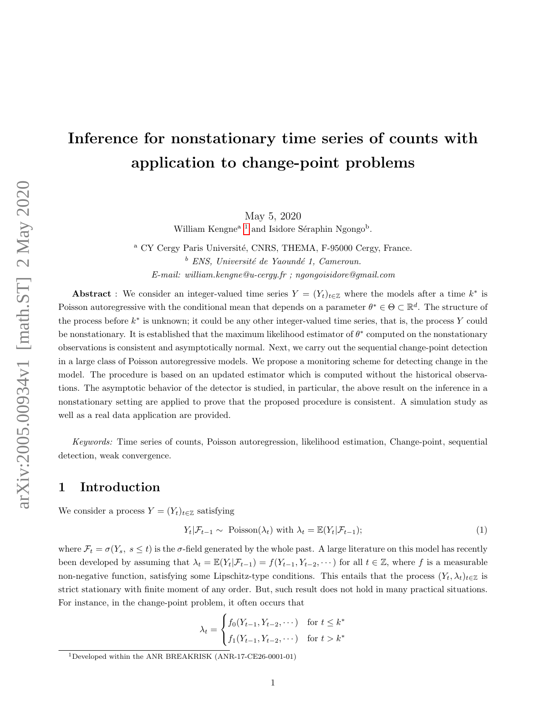# Inference for nonstationary time series of counts with application to change-point problems

May 5, 2020

William Kengne<sup>a [1](#page-0-0)</sup> and Isidore Séraphin Ngongo<sup>b</sup>.

<sup>a</sup> CY Cergy Paris Université, CNRS, THEMA, F-95000 Cergy, France.  $b$  ENS, Université de Yaoundé 1, Cameroun. E-mail: william.kengne@u-cergy.fr ; ngongoisidore@gmail.com

Abstract : We consider an integer-valued time series  $Y = (Y_t)_{t \in \mathbb{Z}}$  where the models after a time  $k^*$  is Poisson autoregressive with the conditional mean that depends on a parameter  $\theta^* \in \Theta \subset \mathbb{R}^d$ . The structure of the process before  $k^*$  is unknown; it could be any other integer-valued time series, that is, the process Y could be nonstationary. It is established that the maximum likelihood estimator of  $\theta^*$  computed on the nonstationary observations is consistent and asymptotically normal. Next, we carry out the sequential change-point detection in a large class of Poisson autoregressive models. We propose a monitoring scheme for detecting change in the model. The procedure is based on an updated estimator which is computed without the historical observations. The asymptotic behavior of the detector is studied, in particular, the above result on the inference in a nonstationary setting are applied to prove that the proposed procedure is consistent. A simulation study as well as a real data application are provided.

Keywords: Time series of counts, Poisson autoregression, likelihood estimation, Change-point, sequential detection, weak convergence.

## 1 Introduction

We consider a process  $Y = (Y_t)_{t \in \mathbb{Z}}$  satisfying

<span id="page-0-1"></span>
$$
Y_t | \mathcal{F}_{t-1} \sim \text{Poisson}(\lambda_t) \text{ with } \lambda_t = \mathbb{E}(Y_t | \mathcal{F}_{t-1}); \tag{1}
$$

where  $\mathcal{F}_t = \sigma(Y_s, s \leq t)$  is the  $\sigma$ -field generated by the whole past. A large literature on this model has recently been developed by assuming that  $\lambda_t = \mathbb{E}(Y_t|\mathcal{F}_{t-1}) = f(Y_{t-1}, Y_{t-2}, \cdots)$  for all  $t \in \mathbb{Z}$ , where f is a measurable non-negative function, satisfying some Lipschitz-type conditions. This entails that the process  $(Y_t, \lambda_t)_{t \in \mathbb{Z}}$  is strict stationary with finite moment of any order. But, such result does not hold in many practical situations. For instance, in the change-point problem, it often occurs that

$$
\lambda_t = \begin{cases} f_0(Y_{t-1}, Y_{t-2}, \dots) & \text{for } t \le k^* \\ f_1(Y_{t-1}, Y_{t-2}, \dots) & \text{for } t > k^* \end{cases}
$$

<span id="page-0-0"></span><sup>1</sup>Developed within the ANR BREAKRISK (ANR-17-CE26-0001-01)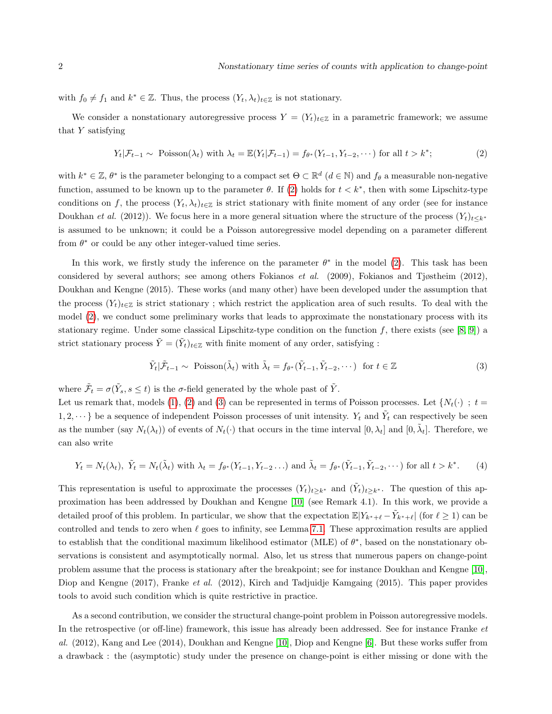with  $f_0 \neq f_1$  and  $k^* \in \mathbb{Z}$ . Thus, the process  $(Y_t, \lambda_t)_{t \in \mathbb{Z}}$  is not stationary.

We consider a nonstationary autoregressive process  $Y = (Y_t)_{t \in \mathbb{Z}}$  in a parametric framework; we assume that Y satisfying

<span id="page-1-0"></span>
$$
Y_t | \mathcal{F}_{t-1} \sim \text{Poisson}(\lambda_t) \text{ with } \lambda_t = \mathbb{E}(Y_t | \mathcal{F}_{t-1}) = f_{\theta^*}(Y_{t-1}, Y_{t-2}, \dots) \text{ for all } t > k^*;
$$
 (2)

with  $k^* \in \mathbb{Z}$ ,  $\theta^*$  is the parameter belonging to a compact set  $\Theta \subset \mathbb{R}^d$   $(d \in \mathbb{N})$  and  $f_{\theta}$  a measurable non-negative function, assumed to be known up to the parameter  $\theta$ . If [\(2\)](#page-1-0) holds for  $t < k^*$ , then with some Lipschitz-type conditions on f, the process  $(Y_t, \lambda_t)_{t \in \mathbb{Z}}$  is strict stationary with finite moment of any order (see for instance Doukhan et al. (2012)). We focus here in a more general situation where the structure of the process  $(Y_t)_{t\leq k^*}$ is assumed to be unknown; it could be a Poisson autoregressive model depending on a parameter different from  $\theta^*$  or could be any other integer-valued time series.

In this work, we firstly study the inference on the parameter  $\theta^*$  in the model [\(2\)](#page-1-0). This task has been considered by several authors; see among others Fokianos et al. (2009), Fokianos and Tjøstheim (2012), Doukhan and Kengne (2015). These works (and many other) have been developed under the assumption that the process  $(Y_t)_{t\in\mathbb{Z}}$  is strict stationary; which restrict the application area of such results. To deal with the model [\(2\)](#page-1-0), we conduct some preliminary works that leads to approximate the nonstationary process with its stationary regime. Under some classical Lipschitz-type condition on the function f, there exists (see [\[8,](#page-24-0) [9\]](#page-24-1)) a strict stationary process  $\tilde{Y} = (\tilde{Y}_t)_{t \in \mathbb{Z}}$  with finite moment of any order, satisfying :

<span id="page-1-1"></span>
$$
\tilde{Y}_t | \tilde{\mathcal{F}}_{t-1} \sim \text{ Poisson}(\tilde{\lambda}_t) \text{ with } \tilde{\lambda}_t = f_{\theta^*}(\tilde{Y}_{t-1}, \tilde{Y}_{t-2}, \cdots) \text{ for } t \in \mathbb{Z}
$$
\n(3)

where  $\tilde{\mathcal{F}}_t = \sigma(\tilde{Y}_s, s \leq t)$  is the  $\sigma$ -field generated by the whole past of  $\tilde{Y}$ .

Let us remark that, models [\(1\)](#page-0-1), [\(2\)](#page-1-0) and [\(3\)](#page-1-1) can be represented in terms of Poisson processes. Let  $\{N_t(\cdot)\,;\,t=$ 1, 2,  $\cdots$ } be a sequence of independent Poisson processes of unit intensity.  $Y_t$  and  $\tilde{Y}_t$  can respectively be seen as the number (say  $N_t(\lambda_t)$ ) of events of  $N_t(\cdot)$  that occurs in the time interval  $[0, \lambda_t]$  and  $[0, \tilde{\lambda}_t]$ . Therefore, we can also write

<span id="page-1-2"></span>
$$
Y_t = N_t(\lambda_t), \ \tilde{Y}_t = N_t(\tilde{\lambda}_t) \text{ with } \lambda_t = f_{\theta^*}(Y_{t-1}, Y_{t-2} \dots) \text{ and } \tilde{\lambda}_t = f_{\theta^*}(\tilde{Y}_{t-1}, \tilde{Y}_{t-2}, \dots) \text{ for all } t > k^*.
$$
 (4)

This representation is useful to approximate the processes  $(Y_t)_{t\geq k^*}$  and  $(\tilde{Y}_t)_{t\geq k^*}$ . The question of this approximation has been addressed by Doukhan and Kengne [\[10\]](#page-24-2) (see Remark 4.1). In this work, we provide a detailed proof of this problem. In particular, we show that the expectation  $\mathbb{E}|Y_{k^*+\ell} - \tilde{Y}_{k^*+\ell}|$  (for  $\ell \ge 1$ ) can be controlled and tends to zero when  $\ell$  goes to infinity, see Lemma [7.1.](#page-15-0) These approximation results are applied to establish that the conditional maximum likelihood estimator (MLE) of  $\theta^*$ , based on the nonstationary observations is consistent and asymptotically normal. Also, let us stress that numerous papers on change-point problem assume that the process is stationary after the breakpoint; see for instance Doukhan and Kengne [\[10\]](#page-24-2), Diop and Kengne (2017), Franke et al. (2012), Kirch and Tadjuidje Kamgaing (2015). This paper provides tools to avoid such condition which is quite restrictive in practice.

As a second contribution, we consider the structural change-point problem in Poisson autoregressive models. In the retrospective (or off-line) framework, this issue has already been addressed. See for instance Franke et al. (2012), Kang and Lee (2014), Doukhan and Kengne [\[10\]](#page-24-2), Diop and Kengne [\[6\]](#page-24-3). But these works suffer from a drawback : the (asymptotic) study under the presence on change-point is either missing or done with the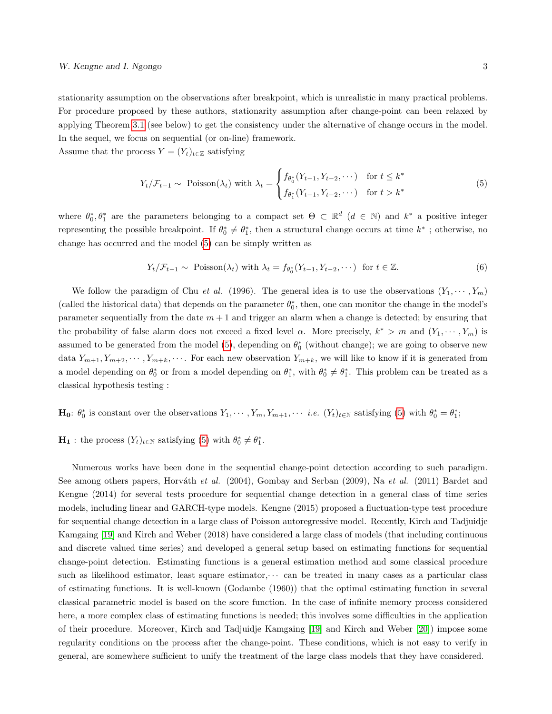stationarity assumption on the observations after breakpoint, which is unrealistic in many practical problems. For procedure proposed by these authors, stationarity assumption after change-point can been relaxed by applying Theorem [3.1](#page-5-0) (see below) to get the consistency under the alternative of change occurs in the model. In the sequel, we focus on sequential (or on-line) framework.

Assume that the process  $Y = (Y_t)_{t \in \mathbb{Z}}$  satisfying

<span id="page-2-0"></span>
$$
Y_t / \mathcal{F}_{t-1} \sim \text{Poisson}(\lambda_t) \text{ with } \lambda_t = \begin{cases} f_{\theta_0^*}(Y_{t-1}, Y_{t-2}, \dots) & \text{for } t \le k^* \\ f_{\theta_1^*}(Y_{t-1}, Y_{t-2}, \dots) & \text{for } t > k^* \end{cases} \tag{5}
$$

where  $\theta_0^*, \theta_1^*$  are the parameters belonging to a compact set  $\Theta \subset \mathbb{R}^d$   $(d \in \mathbb{N})$  and  $k^*$  a positive integer representing the possible breakpoint. If  $\theta_0^* \neq \theta_1^*$ , then a structural change occurs at time  $k^*$ ; otherwise, no change has occurred and the model [\(5\)](#page-2-0) can be simply written as

<span id="page-2-1"></span>
$$
Y_t / \mathcal{F}_{t-1} \sim \text{Poisson}(\lambda_t) \text{ with } \lambda_t = f_{\theta_0^*}(Y_{t-1}, Y_{t-2}, \dots) \text{ for } t \in \mathbb{Z}. \tag{6}
$$

We follow the paradigm of Chu *et al.* (1996). The general idea is to use the observations  $(Y_1, \dots, Y_m)$ (called the historical data) that depends on the parameter  $\theta_0^*$ , then, one can monitor the change in the model's parameter sequentially from the date  $m + 1$  and trigger an alarm when a change is detected; by ensuring that the probability of false alarm does not exceed a fixed level  $\alpha$ . More precisely,  $k^* > m$  and  $(Y_1, \dots, Y_m)$  is assumed to be generated from the model [\(5\)](#page-2-0), depending on  $\theta_0^*$  (without change); we are going to observe new data  $Y_{m+1}, Y_{m+2}, \cdots, Y_{m+k}, \cdots$ . For each new observation  $Y_{m+k}$ , we will like to know if it is generated from a model depending on  $\theta_0^*$  or from a model depending on  $\theta_1^*$ , with  $\theta_0^* \neq \theta_1^*$ . This problem can be treated as a classical hypothesis testing :

- $\mathbf{H_0}: \theta_0^*$  is constant over the observations  $Y_1, \cdots, Y_m, Y_{m+1}, \cdots$  *i.e.*  $(Y_t)_{t \in \mathbb{N}}$  satisfying [\(5\)](#page-2-0) with  $\theta_0^* = \theta_1^*$ ;
- $\mathbf{H}_1$ : the process  $(Y_t)_{t \in \mathbb{N}}$  satisfying [\(5\)](#page-2-0) with  $\theta_0^* \neq \theta_1^*$ .

Numerous works have been done in the sequential change-point detection according to such paradigm. See among others papers, Horváth et al. (2004), Gombay and Serban (2009), Na et al. (2011) Bardet and Kengne (2014) for several tests procedure for sequential change detection in a general class of time series models, including linear and GARCH-type models. Kengne (2015) proposed a fluctuation-type test procedure for sequential change detection in a large class of Poisson autoregressive model. Recently, Kirch and Tadjuidje Kamgaing [\[19\]](#page-24-4) and Kirch and Weber (2018) have considered a large class of models (that including continuous and discrete valued time series) and developed a general setup based on estimating functions for sequential change-point detection. Estimating functions is a general estimation method and some classical procedure such as likelihood estimator, least square estimator, $\cdots$  can be treated in many cases as a particular class of estimating functions. It is well-known (Godambe (1960)) that the optimal estimating function in several classical parametric model is based on the score function. In the case of infinite memory process considered here, a more complex class of estimating functions is needed; this involves some difficulties in the application of their procedure. Moreover, Kirch and Tadjuidje Kamgaing [\[19\]](#page-24-4) and Kirch and Weber [\[20\]](#page-24-5)) impose some regularity conditions on the process after the change-point. These conditions, which is not easy to verify in general, are somewhere sufficient to unify the treatment of the large class models that they have considered.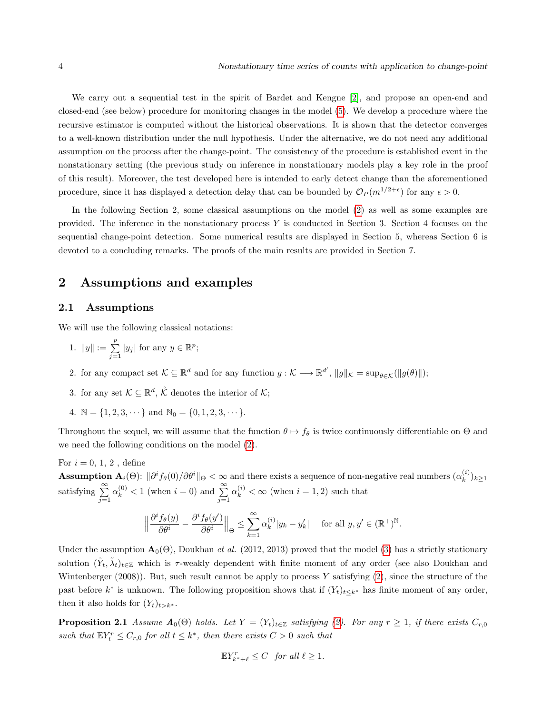We carry out a sequential test in the spirit of Bardet and Kengne [\[2\]](#page-23-0), and propose an open-end and closed-end (see below) procedure for monitoring changes in the model [\(5\)](#page-2-0). We develop a procedure where the recursive estimator is computed without the historical observations. It is shown that the detector converges to a well-known distribution under the null hypothesis. Under the alternative, we do not need any additional assumption on the process after the change-point. The consistency of the procedure is established event in the nonstationary setting (the previous study on inference in nonstationary models play a key role in the proof of this result). Moreover, the test developed here is intended to early detect change than the aforementioned procedure, since it has displayed a detection delay that can be bounded by  $\mathcal{O}_P(m^{1/2+\epsilon})$  for any  $\epsilon > 0$ .

In the following Section 2, some classical assumptions on the model [\(2\)](#page-1-0) as well as some examples are provided. The inference in the nonstationary process  $Y$  is conducted in Section 3. Section 4 focuses on the sequential change-point detection. Some numerical results are displayed in Section 5, whereas Section 6 is devoted to a concluding remarks. The proofs of the main results are provided in Section 7.

## 2 Assumptions and examples

#### 2.1 Assumptions

We will use the following classical notations:

- 1.  $||y|| := \sum_{j=1}^p |y_j|$  for any  $y \in \mathbb{R}^p$ ;
- 2. for any compact set  $\mathcal{K} \subseteq \mathbb{R}^d$  and for any function  $g: \mathcal{K} \longrightarrow \mathbb{R}^{d'}$ ,  $||g||_{\mathcal{K}} = \sup_{\theta \in \mathcal{K}} (||g(\theta)||);$
- 3. for any set  $\mathcal{K} \subseteq \mathbb{R}^d$ ,  $\mathcal{K}$  denotes the interior of  $\mathcal{K}$ ;
- 4.  $\mathbb{N} = \{1, 2, 3, \dots\}$  and  $\mathbb{N}_0 = \{0, 1, 2, 3, \dots\}$ .

Throughout the sequel, we will assume that the function  $\theta \mapsto f_{\theta}$  is twice continuously differentiable on  $\Theta$  and we need the following conditions on the model [\(2\)](#page-1-0).

For  $i = 0, 1, 2$ , define

**Assumption A**<sub>i</sub>( $\Theta$ ):  $\|\partial^i f_\theta(0)/\partial \theta^i\|_{\Theta} < \infty$  and there exists a sequence of non-negative real numbers  $(\alpha_k^{(i)})$  $\binom{k}{k} k \geq 1$ satisfying  $\sum_{j=1}^{\infty} \alpha_k^{(0)} < 1$  (when  $i = 0$ ) and  $\sum_{j=1}^{\infty} \alpha_k^{(i)} < \infty$  (when  $i = 1, 2$ ) such that

$$
\Big\|\frac{\partial^i f_{\theta}(y)}{\partial \theta^i} - \frac{\partial^i f_{\theta}(y')}{\partial \theta^i}\Big\|_{\Theta} \le \sum_{k=1}^{\infty} \alpha_k^{(i)} |y_k - y'_k| \quad \text{ for all } y, y' \in (\mathbb{R}^+)^{\mathbb{N}}.
$$

Under the assumption  $\mathbf{A}_{0}(\Theta)$ , Doukhan *et al.* (2012, 2013) proved that the model [\(3\)](#page-1-1) has a strictly stationary solution  $(\tilde{Y}_t, \tilde{\lambda}_t)_{t \in \mathbb{Z}}$  which is  $\tau$ -weakly dependent with finite moment of any order (see also Doukhan and Wintenberger (2008)). But, such result cannot be apply to process  $Y$  satisfying [\(2\)](#page-1-0), since the structure of the past before  $k^*$  is unknown. The following proposition shows that if  $(Y_t)_{t\leq k^*}$  has finite moment of any order, then it also holds for  $(Y_t)_{t>k^*}$ .

**Proposition 2.1** Assume  $A_0(\Theta)$  holds. Let  $Y = (Y_t)_{t \in \mathbb{Z}}$  satisfying [\(2\)](#page-1-0). For any  $r \geq 1$ , if there exists  $C_{r,0}$ such that  $\mathbb{E}Y_t^r \leq C_{r,0}$  for all  $t \leq k^*$ , then there exists  $C > 0$  such that

<span id="page-3-0"></span>
$$
\mathbb{E}Y_{k^*+\ell}^r \leq C \quad \text{for all } \ell \geq 1.
$$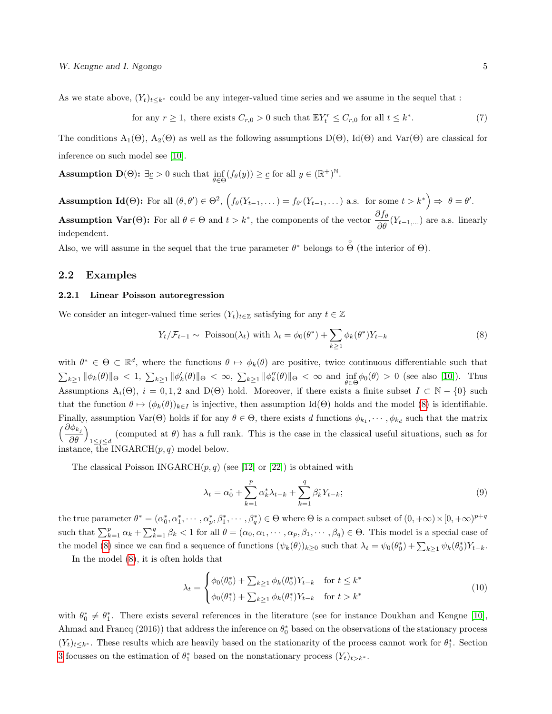As we state above,  $(Y_t)_{t\leq k^*}$  could be any integer-valued time series and we assume in the sequel that :

<span id="page-4-1"></span>for any 
$$
r \ge 1
$$
, there exists  $C_{r,0} > 0$  such that  $\mathbb{E}Y_t^r \le C_{r,0}$  for all  $t \le k^*$ . (7)

The conditions  $A_1(\Theta)$ ,  $A_2(\Theta)$  as well as the following assumptions  $D(\Theta)$ , Id $(\Theta)$  and Var $(\Theta)$  are classical for inference on such model see [\[10\]](#page-24-2).

**Assumption D**( $\Theta$ ):  $\exists \underline{c} > 0$  such that  $\inf_{\theta \in \Theta} (f_{\theta}(y)) \geq \underline{c}$  for all  $y \in (\mathbb{R}^+)^{\mathbb{N}}$ .

Assumption Id( $\Theta$ ): For all  $(\theta, \theta') \in \Theta^2$ ,  $\Big(f_\theta(Y_{t-1}, \dots) = f_{\theta'}(Y_{t-1}, \dots)$  a.s. for some  $t > k^* \Big) \Rightarrow \theta = \theta'.$ **Assumption Var(Θ):** For all  $\theta \in \Theta$  and  $t > k^*$ , the components of the vector  $\frac{\partial f_{\theta}}{\partial \theta}(Y_{t-1,...})$  are a.s. linearly independent.

Also, we will assume in the sequel that the true parameter  $\theta^*$  belongs to  $\hat{\Theta}$  (the interior of  $\Theta$ ).

#### 2.2 Examples

#### 2.2.1 Linear Poisson autoregression

We consider an integer-valued time series  $(Y_t)_{t\in\mathbb{Z}}$  satisfying for any  $t\in\mathbb{Z}$ 

<span id="page-4-0"></span>
$$
Y_t / \mathcal{F}_{t-1} \sim \text{Poisson}(\lambda_t) \text{ with } \lambda_t = \phi_0(\theta^*) + \sum_{k \ge 1} \phi_k(\theta^*) Y_{t-k}
$$
 (8)

with  $\theta^* \in \Theta \subset \mathbb{R}^d$ , where the functions  $\theta \mapsto \phi_k(\theta)$  are positive, twice continuous differentiable such that  $\sum_{k\geq 1} \|\phi'_k(\theta)\|_{\Theta} < 1$ ,  $\sum_{k\geq 1} \|\phi'_k(\theta)\|_{\Theta} < \infty$ ,  $\sum_{k\geq 1} \|\phi''_k(\theta)\|_{\Theta} < \infty$  and  $\inf_{\theta \in \Theta} \phi_0(\theta) > 0$  (see also [\[10\]](#page-24-2)). Thus Assumptions  $A_i(\Theta)$ ,  $i = 0, 1, 2$  and  $D(\Theta)$  hold. Moreover, if there exists a finite subset  $I \subset \mathbb{N} - \{0\}$  such that the function  $\theta \mapsto (\phi_k(\theta))_{k\in I}$  is injective, then assumption Id(Θ) holds and the model [\(8\)](#page-4-0) is identifiable. Finally, assumption  $\text{Var}(\Theta)$  holds if for any  $\theta \in \Theta$ , there exists d functions  $\phi_{k_1}, \dots, \phi_{k_d}$  such that the matrix  $\int \frac{\partial \phi_{k_j}}{\partial x_j}$ ∂θ  $\setminus$ (computed at  $\theta$ ) has a full rank. This is the case in the classical useful situations, such as for  $1 \leq j \leq d$ instance, the INGARCH $(p, q)$  model below.

The classical Poisson INGARCH $(p, q)$  (see [\[12\]](#page-24-6) or [\[22\]](#page-24-7)) is obtained with

$$
\lambda_t = \alpha_0^* + \sum_{k=1}^p \alpha_k^* \lambda_{t-k} + \sum_{k=1}^q \beta_k^* Y_{t-k};
$$
\n(9)

the true parameter  $\theta^* = (\alpha_0^*, \alpha_1^*, \cdots, \alpha_p^*, \beta_1^*, \cdots, \beta_q^*) \in \Theta$  where  $\Theta$  is a compact subset of  $(0, +\infty) \times [0, +\infty)^{p+q}$ such that  $\sum_{k=1}^p \alpha_k + \sum_{k=1}^q \beta_k < 1$  for all  $\theta = (\alpha_0, \alpha_1, \cdots, \alpha_p, \beta_1, \cdots, \beta_q) \in \Theta$ . This model is a special case of the model [\(8\)](#page-4-0) since we can find a sequence of functions  $(\psi_k(\theta))_{k\geq 0}$  such that  $\lambda_t = \psi_0(\theta_0^*) + \sum_{k\geq 1} \psi_k(\theta_0^*) Y_{t-k}$ .

In the model [\(8\)](#page-4-0), it is often holds that

$$
\lambda_t = \begin{cases} \phi_0(\theta_0^*) + \sum_{k \ge 1} \phi_k(\theta_0^*) Y_{t-k} & \text{for } t \le k^* \\ \phi_0(\theta_1^*) + \sum_{k \ge 1} \phi_k(\theta_1^*) Y_{t-k} & \text{for } t > k^* \end{cases}
$$
(10)

with  $\theta_0^* \neq \theta_1^*$ . There exists several references in the literature (see for instance Doukhan and Kengne [\[10\]](#page-24-2), Ahmad and Francq (2016)) that address the inference on  $\theta_0^*$  based on the observations of the stationary process  $(Y_t)_{t\leq k^*}$ . These results which are heavily based on the stationarity of the process cannot work for  $\theta_1^*$ . Section [3](#page-5-1) focusses on the estimation of  $\theta_1^*$  based on the nonstationary process  $(Y_t)_{t>t^*}$ .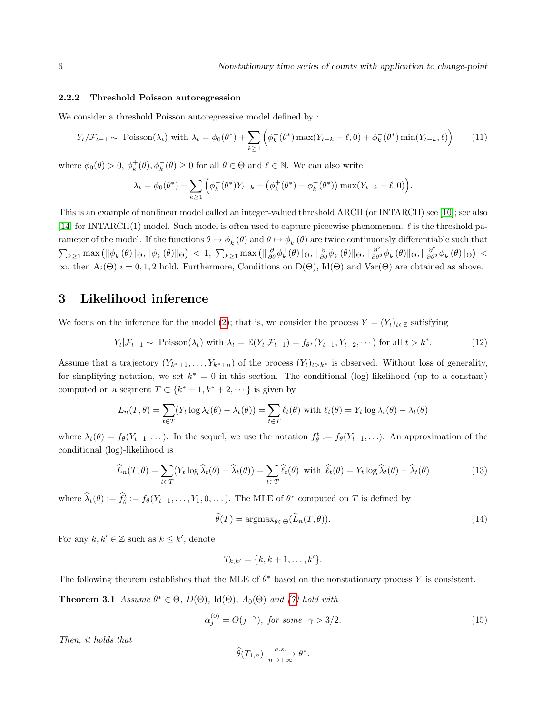#### 2.2.2 Threshold Poisson autoregression

We consider a threshold Poisson autoregressive model defined by :

$$
Y_t / \mathcal{F}_{t-1} \sim \text{Poisson}(\lambda_t) \text{ with } \lambda_t = \phi_0(\theta^*) + \sum_{k \ge 1} \left( \phi_k^+(\theta^*) \max(Y_{t-k} - \ell, 0) + \phi_k^-(\theta^*) \min(Y_{t-k}, \ell) \right) \tag{11}
$$

where  $\phi_0(\theta) > 0$ ,  $\phi_k^+(\theta)$ ,  $\phi_k^-(\theta) \ge 0$  for all  $\theta \in \Theta$  and  $\ell \in \mathbb{N}$ . We can also write

$$
\lambda_t = \phi_0(\theta^*) + \sum_{k \ge 1} \left( \phi_k^-(\theta^*) Y_{t-k} + (\phi_k^+(\theta^*) - \phi_k^-(\theta^*)) \max(Y_{t-k} - \ell, 0) \right).
$$

This is an example of nonlinear model called an integer-valued threshold ARCH (or INTARCH) see [\[10\]](#page-24-2); see also [\[14\]](#page-24-8) for INTARCH(1) model. Such model is often used to capture piecewise phenomenon.  $\ell$  is the threshold parameter of the model. If the functions  $\theta \mapsto \phi_k^+(\theta)$  and  $\theta \mapsto \phi_k^-(\theta)$  are twice continuously differentiable such that  $\sum_{k\geq 1}$  max  $(\|\phi_k^+(\theta)\|_{\Theta}, \|\phi_k^-(\theta)\|_{\Theta}) < 1$ ,  $\sum_{k\geq 1}$  max  $(\|\frac{\partial}{\partial \theta}\phi_k^+(\theta)\|_{\Theta}, \|\frac{\partial}{\partial \theta}\phi_k^-(\theta)\|_{\Theta}, \|\frac{\partial^2}{\partial \theta^2}\phi_k^+(\theta)\|_{\Theta}, \|\frac{\partial^2}{\partial \theta^2}\phi_k^-(\theta)\|_{\Theta}) <$  $\infty$ , then  $A_i(\Theta)$  i = 0, 1, 2 hold. Furthermore, Conditions on D( $\Theta$ ), Id( $\Theta$ ) and Var( $\Theta$ ) are obtained as above.

## <span id="page-5-1"></span>3 Likelihood inference

We focus on the inference for the model [\(2\)](#page-1-0); that is, we consider the process  $Y = (Y_t)_{t \in \mathbb{Z}}$  satisfying

$$
Y_t | \mathcal{F}_{t-1} \sim \text{Poisson}(\lambda_t) \text{ with } \lambda_t = \mathbb{E}(Y_t | \mathcal{F}_{t-1}) = f_{\theta^*}(Y_{t-1}, Y_{t-2}, \dots) \text{ for all } t > k^*.
$$
 (12)

Assume that a trajectory  $(Y_{k^*+1},...,Y_{k^*+n})$  of the process  $(Y_t)_{t>k^*}$  is observed. Without loss of generality, for simplifying notation, we set  $k^* = 0$  in this section. The conditional (log)-likelihood (up to a constant) computed on a segment  $T \subset \{k^* + 1, k^* + 2, \dots\}$  is given by

$$
L_n(T, \theta) = \sum_{t \in T} (Y_t \log \lambda_t(\theta) - \lambda_t(\theta)) = \sum_{t \in T} \ell_t(\theta) \text{ with } \ell_t(\theta) = Y_t \log \lambda_t(\theta) - \lambda_t(\theta)
$$

where  $\lambda_t(\theta) = f_{\theta}(Y_{t-1}, \dots)$ . In the sequel, we use the notation  $f_{\theta}^t := f_{\theta}(Y_{t-1}, \dots)$ . An approximation of the conditional (log)-likelihood is

$$
\widehat{L}_n(T,\theta) = \sum_{t \in T} (Y_t \log \widehat{\lambda}_t(\theta) - \widehat{\lambda}_t(\theta)) = \sum_{t \in T} \widehat{\ell}_t(\theta) \text{ with } \widehat{\ell}_t(\theta) = Y_t \log \widehat{\lambda}_t(\theta) - \widehat{\lambda}_t(\theta) \tag{13}
$$

where  $\hat{\lambda}_t(\theta) := \hat{f}_{\theta}^t := f_{\theta}(Y_{t-1}, \dots, Y_1, 0, \dots)$ . The MLE of  $\theta^*$  computed on T is defined by

<span id="page-5-2"></span>
$$
\widehat{\theta}(T) = \operatorname{argmax}_{\theta \in \Theta} (\widehat{L}_n(T, \theta)).
$$
\n(14)

For any  $k, k' \in \mathbb{Z}$  such as  $k \leq k'$ , denote

$$
T_{k,k'} = \{k, k+1, \ldots, k'\}.
$$

<span id="page-5-0"></span>The following theorem establishes that the MLE of  $\theta^*$  based on the nonstationary process Y is consistent.

**Theorem 3.1** Assume  $\theta^* \in \overset{\circ}{\Theta}$ ,  $D(\Theta)$ , Id $(\Theta)$ ,  $A_0(\Theta)$  and [\(7\)](#page-4-1) hold with

$$
\alpha_j^{(0)} = O(j^{-\gamma}), \text{ for some } \gamma > 3/2. \tag{15}
$$

Then, it holds that

$$
\widehat{\theta}(T_{1,n}) \xrightarrow[n \to +\infty]{a.s.} \theta^*.
$$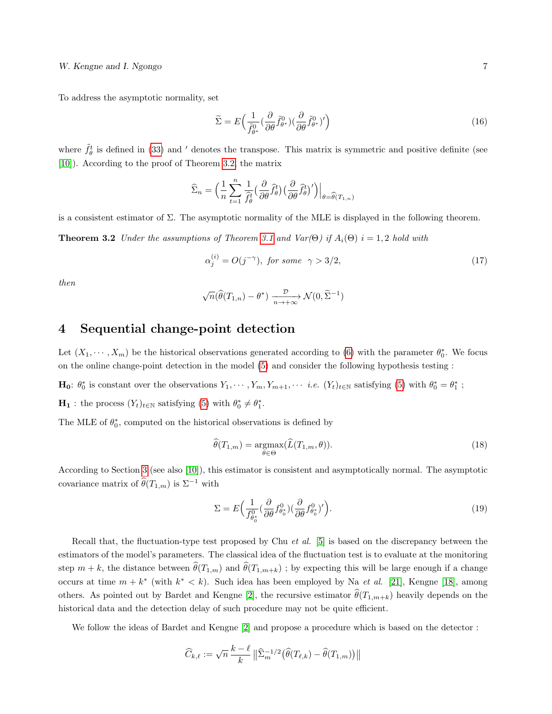To address the asymptotic normality, set

$$
\widetilde{\Sigma} = E\Big(\frac{1}{\widetilde{f}_{\theta^*}^0} \left(\frac{\partial}{\partial \theta} \widetilde{f}_{\theta^*}^0\right) \left(\frac{\partial}{\partial \theta} \widetilde{f}_{\theta^*}^0\right)'\Big) \tag{16}
$$

where  $\tilde{f}^t_{\theta}$  is defined in [\(33\)](#page-15-1) and ' denotes the transpose. This matrix is symmetric and positive definite (see [\[10\]](#page-24-2)). According to the proof of Theorem [3.2,](#page-6-0) the matrix

$$
\widehat{\Sigma}_n = \Big(\frac{1}{n}\sum_{t=1}^n \frac{1}{\widehat{f}_{\theta}^t} \Big(\frac{\partial}{\partial \theta} \widehat{f}_{\theta}^t\Big) \Big(\frac{\partial}{\partial \theta} \widehat{f}_{\theta}^t\Big)'\Big)\Big|_{\theta = \widehat{\theta}(T_{1,n})}
$$

is a consistent estimator of Σ. The asymptotic normality of the MLE is displayed in the following theorem.

**Theorem 3.2** Under the assumptions of Theorem [3.1](#page-5-0) and Var( $\Theta$ ) if  $A_i(\Theta)$  i = 1,2 hold with

<span id="page-6-0"></span>
$$
\alpha_j^{(i)} = O(j^{-\gamma}), \text{ for some } \gamma > 3/2,
$$
\n
$$
(17)
$$

then

$$
\sqrt{n}(\widehat{\theta}(T_{1,n}) - \theta^*) \xrightarrow[n \to +\infty]{\mathcal{D}} \mathcal{N}(0, \widetilde{\Sigma}^{-1})
$$

### 4 Sequential change-point detection

Let  $(X_1, \dots, X_m)$  be the historical observations generated according to [\(6\)](#page-2-1) with the parameter  $\theta_0^*$ . We focus on the online change-point detection in the model [\(5\)](#page-2-0) and consider the following hypothesis testing :

 $\mathbf{H}_0: \theta_0^*$  is constant over the observations  $Y_1, \cdots, Y_m, Y_{m+1}, \cdots$  *i.e.*  $(Y_t)_{t \in \mathbb{N}}$  satisfying [\(5\)](#page-2-0) with  $\theta_0^* = \theta_1^*$ ;

 $\mathbf{H}_1$ : the process  $(Y_t)_{t \in \mathbb{N}}$  satisfying [\(5\)](#page-2-0) with  $\theta_0^* \neq \theta_1^*$ .

The MLE of  $\theta_0^*$ , computed on the historical observations is defined by

$$
\widehat{\theta}(T_{1,m}) = \underset{\theta \in \Theta}{\operatorname{argmax}} (\widehat{L}(T_{1,m}, \theta)). \tag{18}
$$

According to Section [3](#page-5-1) (see also [\[10\]](#page-24-2)), this estimator is consistent and asymptotically normal. The asymptotic covariance matrix of  $\widehat{\theta}(T_{1,m})$  is  $\Sigma^{-1}$  with

$$
\Sigma = E\Big(\frac{1}{f_{\theta_0^*}^0}(\frac{\partial}{\partial \theta} f_{\theta_0^*}^0)(\frac{\partial}{\partial \theta} f_{\theta_0^*}^0)'\Big). \tag{19}
$$

Recall that, the fluctuation-type test proposed by Chu *et al.* [\[5\]](#page-23-1) is based on the discrepancy between the estimators of the model's parameters. The classical idea of the fluctuation test is to evaluate at the monitoring step  $m + k$ , the distance between  $\hat{\theta}(T_{1,m})$  and  $\hat{\theta}(T_{1,m+k})$ ; by expecting this will be large enough if a change occurs at time  $m + k^*$  (with  $k^* < k$ ). Such idea has been employed by Na *et al.* [\[21\]](#page-24-9), Kengne [\[18\]](#page-24-10), among others. As pointed out by Bardet and Kengne [\[2\]](#page-23-0), the recursive estimator  $\hat{\theta}(T_{1,m+k})$  heavily depends on the historical data and the detection delay of such procedure may not be quite efficient.

We follow the ideas of Bardet and Kengne  $[2]$  and propose a procedure which is based on the detector :

$$
\widehat{C}_{k,\ell} := \sqrt{n} \, \frac{k-\ell}{k} \, \big\| \widehat{\Sigma}_m^{-1/2} \big( \widehat{\theta}(T_{\ell,k}) - \widehat{\theta}(T_{1,m}) \big) \big\|
$$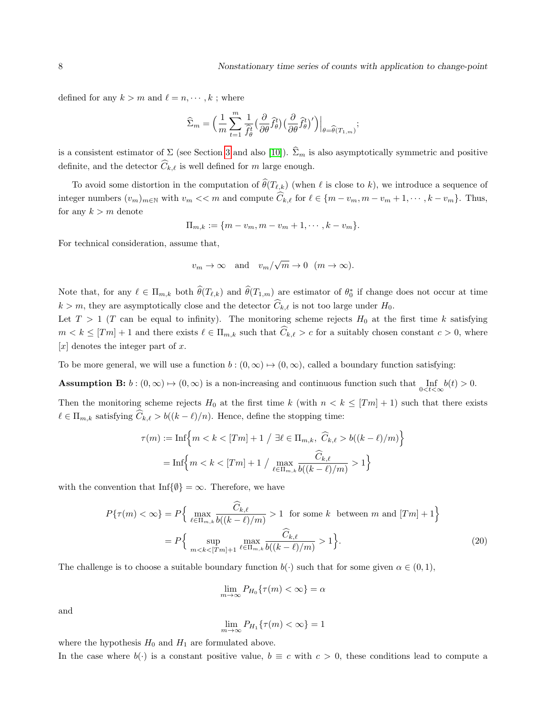defined for any  $k > m$  and  $\ell = n, \dots, k$ ; where

$$
\widehat{\Sigma}_m = \Big(\frac{1}{m}\sum_{t=1}^m \frac{1}{\widehat{f}_{\theta}^t} \Big(\frac{\partial}{\partial \theta} \widehat{f}_{\theta}^t\Big) \Big(\frac{\partial}{\partial \theta} \widehat{f}_{\theta}^t\Big)'\Big)\Big|_{\theta = \widehat{\theta}(T_{1,m})};
$$

is a consistent estimator of  $\Sigma$  (see Section [3](#page-5-1) and also [\[10\]](#page-24-2)).  $\widehat{\Sigma}_m$  is also asymptotically symmetric and positive definite, and the detector  $\widehat{C}_{k,\ell}$  is well defined for m large enough.

To avoid some distortion in the computation of  $\hat{\theta}(T_{\ell,k})$  (when  $\ell$  is close to k), we introduce a sequence of integer numbers  $(v_m)_{m\in\mathbb{N}}$  with  $v_m \ll m$  and compute  $\widehat{C}_{k,\ell}$  for  $\ell \in \{m - v_m, m - v_m + 1, \cdots, k - v_m\}$ . Thus, for any  $k > m$  denote

$$
\Pi_{m,k} := \{m - v_m, m - v_m + 1, \cdots, k - v_m\}.
$$

For technical consideration, assume that,

$$
v_m \to \infty
$$
 and  $v_m/\sqrt{m} \to 0$   $(m \to \infty)$ .

Note that, for any  $\ell \in \Pi_{m,k}$  both  $\widehat{\theta}(T_{\ell,k})$  and  $\widehat{\theta}(T_{1,m})$  are estimator of  $\theta_0^*$  if change does not occur at time  $k > m$ , they are asymptotically close and the detector  $\widehat{C}_{k,\ell}$  is not too large under  $H_0$ .

Let  $T > 1$  (T can be equal to infinity). The monitoring scheme rejects  $H_0$  at the first time k satisfying  $m < k \leq [Tm] + 1$  and there exists  $\ell \in \Pi_{m,k}$  such that  $\widehat{C}_{k,\ell} > c$  for a suitably chosen constant  $c > 0$ , where  $[x]$  denotes the integer part of x.

To be more general, we will use a function  $b : (0, \infty) \mapsto (0, \infty)$ , called a boundary function satisfying:

**Assumption B:**  $b:(0,\infty) \mapsto (0,\infty)$  is a non-increasing and continuous function such that  $\inf_{0 \leq t \leq \infty} b(t) > 0$ .

Then the monitoring scheme rejects  $H_0$  at the first time k (with  $n < k \leq [Tm] + 1$ ) such that there exists  $\ell \in \Pi_{m,k}$  satisfying  $\widehat{C}_{k,\ell} > b((k - \ell)/n)$ . Hence, define the stopping time:

$$
\tau(m) := \text{Inf}\Big\{m < k < [Tm] + 1 \;/\; \exists \ell \in \Pi_{m,k}, \; \widehat{C}_{k,\ell} > b((k-\ell)/m)\Big\}
$$
\n
$$
= \text{Inf}\Big\{m < k < [Tm] + 1 \;/\; \max_{\ell \in \Pi_{m,k}} \frac{\widehat{C}_{k,\ell}}{b((k-\ell)/m)} > 1\Big\}
$$

with the convention that Inf{ $\emptyset$ } =  $\infty$ . Therefore, we have

$$
P\{\tau(m) < \infty\} = P\Big\{\max_{\ell \in \Pi_{m,k}} \frac{\widehat{C}_{k,\ell}}{b((k-\ell)/m)} > 1 \text{ for some } k \text{ between } m \text{ and } [Tm] + 1\Big\}
$$
\n
$$
= P\Big\{\sup_{m < k < [Tm]+1} \max_{\ell \in \Pi_{m,k}} \frac{\widehat{C}_{k,\ell}}{b((k-\ell)/m)} > 1\Big\}.\tag{20}
$$

The challenge is to choose a suitable boundary function  $b(\cdot)$  such that for some given  $\alpha \in (0,1)$ ,

$$
\lim_{m \to \infty} P_{H_0}\{\tau(m) < \infty\} = \alpha
$$

and

$$
\lim_{m \to \infty} P_{H_1}\{\tau(m) < \infty\} = 1
$$

where the hypothesis  $H_0$  and  $H_1$  are formulated above.

In the case where  $b(\cdot)$  is a constant positive value,  $b \equiv c$  with  $c > 0$ , these conditions lead to compute a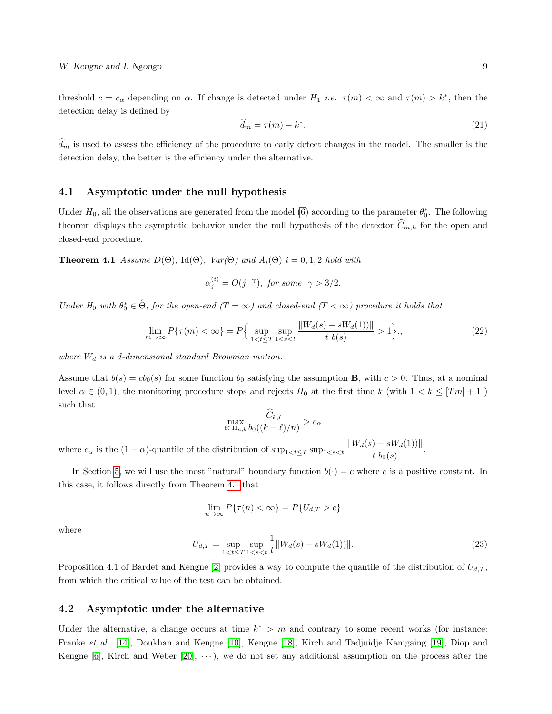threshold  $c = c_{\alpha}$  depending on  $\alpha$ . If change is detected under  $H_1$  *i.e.*  $\tau(m) < \infty$  and  $\tau(m) > k^*$ , then the detection delay is defined by

<span id="page-8-1"></span>
$$
\widehat{d}_m = \tau(m) - k^*.\tag{21}
$$

 $\hat{d}_m$  is used to assess the efficiency of the procedure to early detect changes in the model. The smaller is the detection delay, the better is the efficiency under the alternative.

#### 4.1 Asymptotic under the null hypothesis

Under  $H_0$ , all the observations are generated from the model [\(6\)](#page-2-1) according to the parameter  $\theta_0^*$ . The following theorem displays the asymptotic behavior under the null hypothesis of the detector  $\widehat{C}_{m,k}$  for the open and closed-end procedure.

**Theorem 4.1** Assume  $D(\Theta)$ , Id $(\Theta)$ , Var $(\Theta)$  and  $A_i(\Theta)$  i = 0, 1, 2 hold with

<span id="page-8-0"></span>
$$
\alpha_j^{(i)} = O(j^{-\gamma}), \text{ for some } \gamma > 3/2.
$$

Under  $H_0$  with  $\theta_0^* \in \dot{\Theta}$ , for the open-end  $(T = \infty)$  and closed-end  $(T < \infty)$  procedure it holds that

$$
\lim_{m \to \infty} P\{\tau(m) < \infty\} = P\Big\{ \sup_{1 < t \le T} \sup_{1 < s < t} \frac{\|W_d(s) - sW_d(1))\|}{t \ b(s)} > 1 \Big\},\tag{22}
$$

where  $W_d$  is a d-dimensional standard Brownian motion.

Assume that  $b(s) = cb_0(s)$  for some function  $b_0$  satisfying the assumption **B**, with  $c > 0$ . Thus, at a nominal level  $\alpha \in (0,1)$ , the monitoring procedure stops and rejects  $H_0$  at the first time k (with  $1 < k \leq [Tm] + 1$ ) such that

$$
\max_{\ell \in \Pi_{n,k}} \frac{\widehat{C}_{k,\ell}}{b_0((k-\ell)/n)} > c_\alpha
$$

where  $c_{\alpha}$  is the  $(1 - \alpha)$ -quantile of the distribution of  $\sup_{1 \le t \le T} \sup_{1 \le s \le t} \frac{||W_d(s) - sW_d(1)||}{t h_d(s)}$  $\frac{1}{t} \frac{b_0(s)}{b_0(s)}$ .

In Section [5,](#page-9-0) we will use the most "natural" boundary function  $b(\cdot) = c$  where c is a positive constant. In this case, it follows directly from Theorem [4.1](#page-8-0) that

$$
\lim_{n \to \infty} P\{\tau(n) < \infty\} = P\{U_{d,T} > c\}
$$

where

$$
U_{d,T} = \sup_{1 < t \le T} \sup_{1 < s < t} \frac{1}{t} \| W_d(s) - sW_d(1)) \| . \tag{23}
$$

Proposition 4.1 of Bardet and Kengne [\[2\]](#page-23-0) provides a way to compute the quantile of the distribution of  $U_{d,T}$ , from which the critical value of the test can be obtained.

#### 4.2 Asymptotic under the alternative

Under the alternative, a change occurs at time  $k^* > m$  and contrary to some recent works (for instance: Franke et al. [\[14\]](#page-24-8), Doukhan and Kengne [\[10\]](#page-24-2), Kengne [\[18\]](#page-24-10), Kirch and Tadjuidje Kamgaing [\[19\]](#page-24-4), Diop and Kengne [\[6\]](#page-24-3), Kirch and Weber  $[20]$ ,  $\dots$ , we do not set any additional assumption on the process after the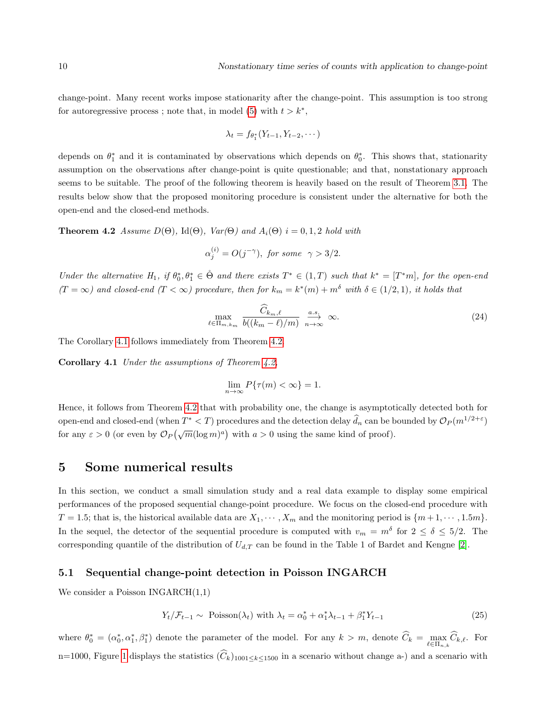change-point. Many recent works impose stationarity after the change-point. This assumption is too strong for autoregressive process; note that, in model [\(5\)](#page-2-0) with  $t > k^*$ ,

$$
\lambda_t = f_{\theta_1^*}(Y_{t-1}, Y_{t-2}, \cdots)
$$

depends on  $\theta_1^*$  and it is contaminated by observations which depends on  $\theta_0^*$ . This shows that, stationarity assumption on the observations after change-point is quite questionable; and that, nonstationary approach seems to be suitable. The proof of the following theorem is heavily based on the result of Theorem [3.1.](#page-5-0) The results below show that the proposed monitoring procedure is consistent under the alternative for both the open-end and the closed-end methods.

**Theorem 4.2** Assume  $D(\Theta)$ , Id $(\Theta)$ , Var $(\Theta)$  and  $A_i(\Theta)$  i = 0, 1, 2 hold with

<span id="page-9-2"></span>
$$
\alpha_j^{(i)} = O(j^{-\gamma}), \text{ for some } \gamma > 3/2.
$$

Under the alternative  $H_1$ , if  $\theta_0^*, \theta_1^* \in \mathcal{A}$  and there exists  $T^* \in (1,T)$  such that  $k^* = [T^*m]$ , for the open-end  $(T = \infty)$  and closed-end  $(T < \infty)$  procedure, then for  $k_m = k^*(m) + m^{\delta}$  with  $\delta \in (1/2, 1)$ , it holds that

$$
\max_{\ell \in \Pi_{m,k_m}} \frac{\widehat{C}_{k_m,\ell}}{b((k_m-\ell)/m)} \xrightarrow[n \to \infty]{a.s.} \infty.
$$
\n(24)

The Corollary [4.1](#page-9-1) follows immediately from Theorem [4.2.](#page-9-2)

Corollary 4.1 Under the assumptions of Theorem [4.2,](#page-9-2)

<span id="page-9-1"></span>
$$
\lim_{n \to \infty} P\{\tau(m) < \infty\} = 1.
$$

Hence, it follows from Theorem [4.2](#page-9-2) that with probability one, the change is asymptotically detected both for open-end and closed-end (when  $T^* < T$ ) procedures and the detection delay  $\hat{d}_n$  can be bounded by  $\mathcal{O}_P(m^{1/2+\varepsilon})$ for any  $\varepsilon > 0$  (or even by  $\mathcal{O}_P(\sqrt{m}(\log m)^a)$  with  $a > 0$  using the same kind of proof).

## <span id="page-9-0"></span>5 Some numerical results

In this section, we conduct a small simulation study and a real data example to display some empirical performances of the proposed sequential change-point procedure. We focus on the closed-end procedure with  $T = 1.5$ ; that is, the historical available data are  $X_1, \dots, X_m$  and the monitoring period is  $\{m+1, \dots, 1.5m\}.$ In the sequel, the detector of the sequential procedure is computed with  $v_m = m^{\delta}$  for  $2 \le \delta \le 5/2$ . The corresponding quantile of the distribution of  $U_{d,T}$  can be found in the Table 1 of Bardet and Kengne [\[2\]](#page-23-0).

#### 5.1 Sequential change-point detection in Poisson INGARCH

We consider a Poisson  $INGARCH(1,1)$ 

<span id="page-9-3"></span>
$$
Y_t / \mathcal{F}_{t-1} \sim \text{Poisson}(\lambda_t) \text{ with } \lambda_t = \alpha_0^* + \alpha_1^* \lambda_{t-1} + \beta_1^* Y_{t-1} \tag{25}
$$

where  $\theta_0^* = (\alpha_0^*, \alpha_1^*, \beta_1^*)$  denote the parameter of the model. For any  $k > m$ , denote  $\widehat{C}_k = \max_{\ell \in \Pi_{n,k}} \widehat{C}_{k,\ell}$ . For n=1000, Figure [1](#page-10-0) displays the statistics  $(\widehat{C}_k)_{1001 \le k \le 1500}$  in a scenario without change a-) and a scenario with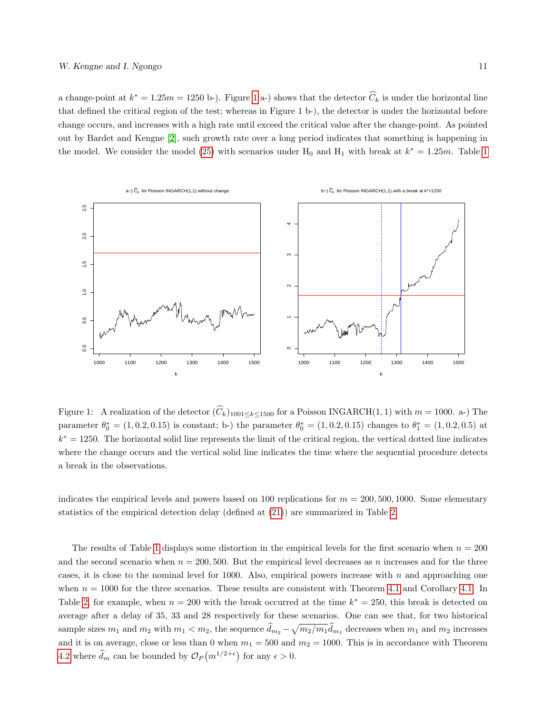a change-point at  $k^* = 1.25m = 1250$  $k^* = 1.25m = 1250$  $k^* = 1.25m = 1250$  b-). Figure 1 a-) shows that the detector  $\hat{C}_k$  is under the horizontal line that defined the critical region of the test; whereas in Figure 1 b-), the detector is under the horizontal before change occurs, and increases with a high rate until exceed the critical value after the change-point. As pointed out by Bardet and Kengne [\[2\]](#page-23-0), such growth rate over a long period indicates that something is happening in the model. We consider the model [\(25\)](#page-9-3) with scenarios under  $H_0$  and  $H_1$  with break at  $k^* = 1.25m$  $k^* = 1.25m$  $k^* = 1.25m$ . Table 1



<span id="page-10-0"></span>Figure 1: A realization of the detector  $(\widehat{C}_k)_{1001 \le k \le 1500}$  for a Poisson INGARCH(1, 1) with  $m = 1000$ . a-) The parameter  $\theta_0^* = (1, 0.2, 0.15)$  is constant; b-) the parameter  $\theta_0^* = (1, 0.2, 0.15)$  changes to  $\theta_1^* = (1, 0.2, 0.5)$  at  $k^* = 1250$ . The horizontal solid line represents the limit of the critical region, the vertical dotted line indicates where the change occurs and the vertical solid line indicates the time where the sequential procedure detects a break in the observations.

indicates the empirical levels and powers based on 100 replications for  $m = 200, 500, 1000$ . Some elementary statistics of the empirical detection delay (defined at [\(21\)](#page-8-1)) are summarized in Table [2.](#page-11-1)

The results of Table [1](#page-11-0) displays some distortion in the empirical levels for the first scenario when  $n = 200$ and the second scenario when  $n = 200, 500$ . But the empirical level decreases as n increases and for the three cases, it is close to the nominal level for 1000. Also, empirical powers increase with  $n$  and approaching one when  $n = 1000$  for the three scenarios. These results are consistent with Theorem [4.1](#page-8-0) and Corollary [4.1.](#page-9-1) In Table [2,](#page-11-1) for example, when  $n = 200$  with the break occurred at the time  $k^* = 250$ , this break is detected on average after a delay of 35, 33 and 28 respectively for these scenarios. One can see that, for two historical sample sizes  $m_1$  and  $m_2$  with  $m_1 < m_2$ , the sequence  $\hat{d}_{m_2} - \sqrt{m_2/m_1} \hat{d}_{m_1}$  decreases when  $m_1$  and  $m_2$  increases and it is on average, close or less than 0 when  $m_1 = 500$  and  $m_2 = 1000$ . This is in accordance with Theorem [4.2](#page-9-2) where  $\hat{d}_m$  can be bounded by  $\mathcal{O}_P(m^{1/2+\epsilon})$  for any  $\epsilon > 0$ .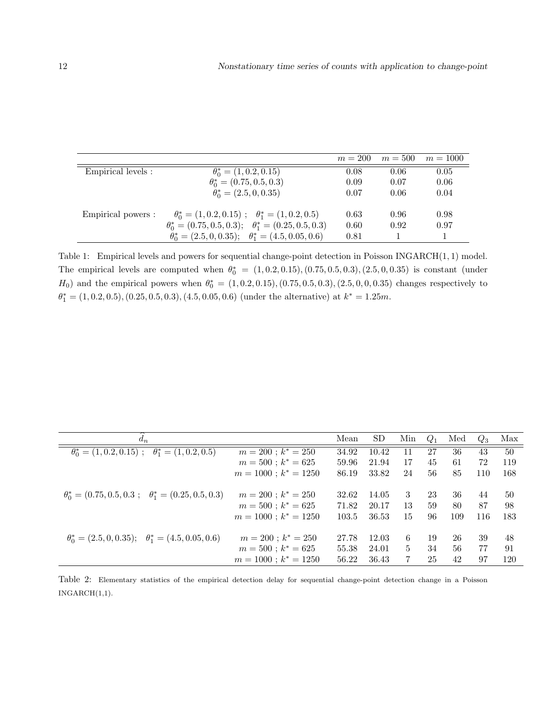|                    |                                                                      | $m = 200$ | $m = 500$ | $m = 1000$ |
|--------------------|----------------------------------------------------------------------|-----------|-----------|------------|
| Empirical levels : | $\theta_0^* = (1, 0.2, 0.15)$                                        | 0.08      | 0.06      | 0.05       |
|                    | $\theta_0^* = (0.75, 0.5, 0.3)$                                      | 0.09      | 0.07      | 0.06       |
|                    | $\theta_0^* = (2.5, 0, 0.35)$                                        | 0.07      | 0.06      | 0.04       |
| Empirical powers : | $\theta_0^* = (1, 0.2, 0.15); \quad \theta_1^* = (1, 0.2, 0.5)$      | 0.63      | 0.96      | 0.98       |
|                    | $\theta_0^* = (0.75, 0.5, 0.3); \quad \theta_1^* = (0.25, 0.5, 0.3)$ | 0.60      | 0.92      | 0.97       |
|                    | $\theta_0^* = (2.5, 0, 0.35); \quad \theta_1^* = (4.5, 0.05, 0.6)$   | 0.81      |           |            |

<span id="page-11-0"></span>Table 1: Empirical levels and powers for sequential change-point detection in Poisson INGARCH(1, 1) model. The empirical levels are computed when  $\theta_0^* = (1, 0.2, 0.15), (0.75, 0.5, 0.3), (2.5, 0, 0.35)$  is constant (under  $H_0$ ) and the empirical powers when  $\theta_0^* = (1, 0.2, 0.15), (0.75, 0.5, 0.3), (2.5, 0, 0, 0.35)$  changes respectively to  $\theta_1^* = (1, 0.2, 0.5), (0.25, 0.5, 0.3), (4.5, 0.05, 0.6)$  (under the alternative) at  $k^* = 1.25m$ .

| $d_n$                                                               |                           | Mean  | SD.   | Min            | $Q_1$ | Med | $Q_3$ | Max |
|---------------------------------------------------------------------|---------------------------|-------|-------|----------------|-------|-----|-------|-----|
| $\theta_0^* = (1, 0.2, 0.15); \quad \theta_1^* = (1, 0.2, 0.5)$     | $m = 200$ ; $k^* = 250$   | 34.92 | 10.42 | 11             | 27    | 36  | 43    | 50  |
|                                                                     | $m = 500$ ; $k^* = 625$   | 59.96 | 21.94 | 17             | 45    | 61  | 72    | 119 |
|                                                                     | $m = 1000$ ; $k^* = 1250$ | 86.19 | 33.82 | 24             | 56    | 85  | 110   | 168 |
| $\theta_0^* = (0.75, 0.5, 0.3; \quad \theta_1^* = (0.25, 0.5, 0.3)$ | $m = 200$ ; $k^* = 250$   | 32.62 | 14.05 | 3              | 23    | 36  | 44    | 50  |
|                                                                     | $m = 500$ ; $k^* = 625$   | 71.82 | 20.17 | 13             | 59    | 80  | 87    | 98  |
|                                                                     | $m = 1000$ ; $k^* = 1250$ | 103.5 | 36.53 | 15             | 96    | 109 | 116   | 183 |
| $\theta_0^* = (2.5, 0, 0.35); \quad \theta_1^* = (4.5, 0.05, 0.6)$  | $m = 200$ ; $k^* = 250$   | 27.78 | 12.03 | 6              | 19    | 26  | 39    | 48  |
|                                                                     | $m = 500$ ; $k^* = 625$   | 55.38 | 24.01 | $\overline{5}$ | 34    | 56  | 77    | 91  |
|                                                                     | $m = 1000$ ; $k^* = 1250$ | 56.22 | 36.43 | 7              | 25    | 42  | 97    | 120 |

<span id="page-11-1"></span>Table 2: Elementary statistics of the empirical detection delay for sequential change-point detection change in a Poisson INGARCH(1,1).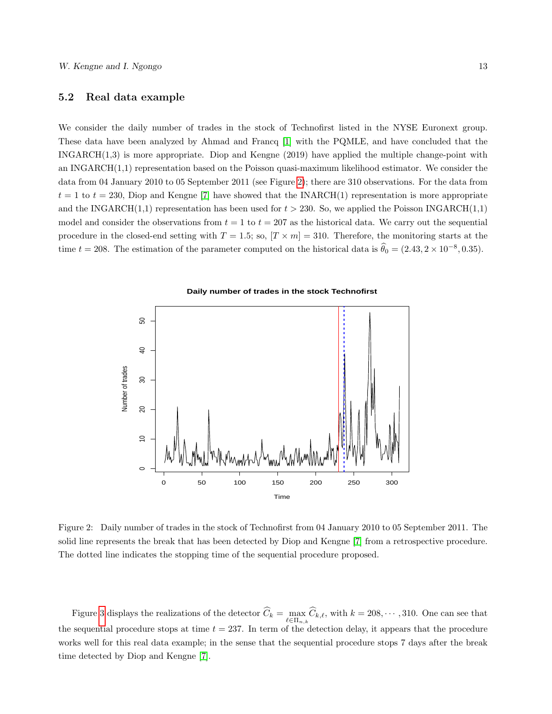#### 5.2 Real data example

We consider the daily number of trades in the stock of Technofirst listed in the NYSE Euronext group. These data have been analyzed by Ahmad and Francq [\[1\]](#page-23-2) with the PQMLE, and have concluded that the INGARCH(1,3) is more appropriate. Diop and Kengne (2019) have applied the multiple change-point with an INGARCH(1,1) representation based on the Poisson quasi-maximum likelihood estimator. We consider the data from 04 January 2010 to 05 September 2011 (see Figure [2\)](#page-12-0); there are 310 observations. For the data from  $t = 1$  to  $t = 230$ , Diop and Kengne [\[7\]](#page-24-11) have showed that the INARCH(1) representation is more appropriate and the INGARCH(1,1) representation has been used for  $t > 230$ . So, we applied the Poisson INGARCH(1,1) model and consider the observations from  $t = 1$  to  $t = 207$  as the historical data. We carry out the sequential procedure in the closed-end setting with  $T = 1.5$ ; so,  $[T \times m] = 310$ . Therefore, the monitoring starts at the time  $t = 208$ . The estimation of the parameter computed on the historical data is  $\hat{\theta}_0 = (2.43, 2 \times 10^{-8}, 0.35)$ .



<span id="page-12-0"></span>Figure 2: Daily number of trades in the stock of Technofirst from 04 January 2010 to 05 September 2011. The solid line represents the break that has been detected by Diop and Kengne [\[7\]](#page-24-11) from a retrospective procedure. The dotted line indicates the stopping time of the sequential procedure proposed.

Figure [3](#page-13-0) displays the realizations of the detector  $C_k = \max_{\ell \in \Pi_{n,k}} C_{k,\ell}$ , with  $k = 208, \cdots, 310$ . One can see that the sequential procedure stops at time  $t = 237$ . In term of the detection delay, it appears that the procedure works well for this real data example; in the sense that the sequential procedure stops 7 days after the break time detected by Diop and Kengne [\[7\]](#page-24-11).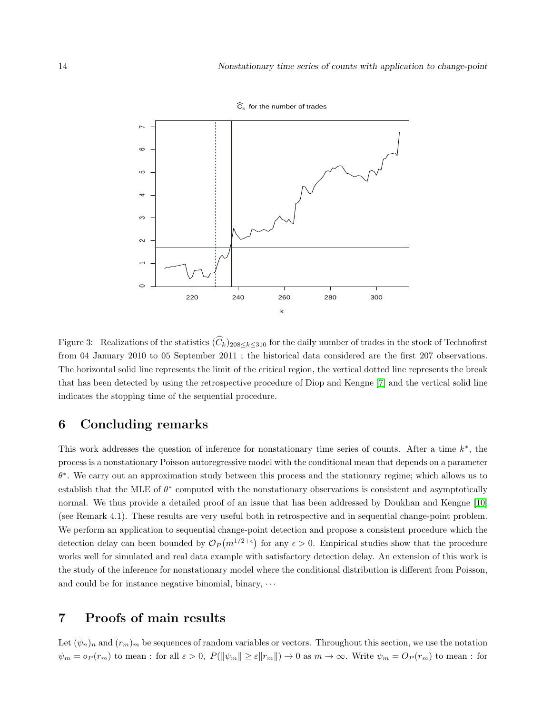

 $\widehat{C}_k$  for the number of trades

<span id="page-13-0"></span>Figure 3: Realizations of the statistics  $(\widehat{C}_k)_{208\leq k\leq 310}$  for the daily number of trades in the stock of Technofirst from 04 January 2010 to 05 September 2011 ; the historical data considered are the first 207 observations. The horizontal solid line represents the limit of the critical region, the vertical dotted line represents the break that has been detected by using the retrospective procedure of Diop and Kengne [\[7\]](#page-24-11) and the vertical solid line indicates the stopping time of the sequential procedure.

## 6 Concluding remarks

This work addresses the question of inference for nonstationary time series of counts. After a time  $k^*$ , the process is a nonstationary Poisson autoregressive model with the conditional mean that depends on a parameter  $\theta^*$ . We carry out an approximation study between this process and the stationary regime; which allows us to establish that the MLE of  $\theta^*$  computed with the nonstationary observations is consistent and asymptotically normal. We thus provide a detailed proof of an issue that has been addressed by Doukhan and Kengne [\[10\]](#page-24-2) (see Remark 4.1). These results are very useful both in retrospective and in sequential change-point problem. We perform an application to sequential change-point detection and propose a consistent procedure which the detection delay can been bounded by  $\mathcal{O}_P(m^{1/2+\epsilon})$  for any  $\epsilon > 0$ . Empirical studies show that the procedure works well for simulated and real data example with satisfactory detection delay. An extension of this work is the study of the inference for nonstationary model where the conditional distribution is different from Poisson, and could be for instance negative binomial, binary,  $\cdots$ 

## 7 Proofs of main results

Let  $(\psi_n)_n$  and  $(r_m)_m$  be sequences of random variables or vectors. Throughout this section, we use the notation  $\psi_m = o_P(r_m)$  to mean : for all  $\varepsilon > 0$ ,  $P(||\psi_m|| \ge \varepsilon ||r_m||) \to 0$  as  $m \to \infty$ . Write  $\psi_m = O_P(r_m)$  to mean : for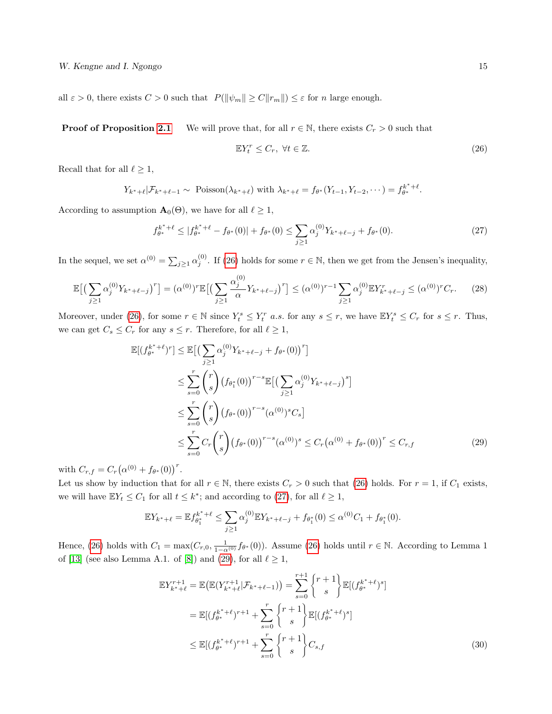all  $\varepsilon > 0$ , there exists  $C > 0$  such that  $P(\|\psi_m\| \ge C \|r_m\|) \le \varepsilon$  for n large enough.

**Proof of Proposition [2.1](#page-3-0)** We will prove that, for all  $r \in \mathbb{N}$ , there exists  $C_r > 0$  such that

<span id="page-14-0"></span>
$$
\mathbb{E}Y_t^r \le C_r, \ \forall t \in \mathbb{Z}.\tag{26}
$$

Recall that for all  $\ell \geq 1$ ,

$$
Y_{k^*+\ell}|\mathcal{F}_{k^*+\ell-1} \sim \text{Poisson}(\lambda_{k^*+\ell}) \text{ with } \lambda_{k^*+\ell} = f_{\theta^*}(Y_{t-1}, Y_{t-2}, \dots) = f_{\theta^*}^{k^*+\ell}.
$$

According to assumption  $\mathbf{A}_{0}(\Theta)$ , we have for all  $\ell \geq 1$ ,

<span id="page-14-1"></span>
$$
f_{\theta^*}^{k^*+\ell} \le |f_{\theta^*}^{k^*+\ell} - f_{\theta^*}(0)| + f_{\theta^*}(0) \le \sum_{j\ge 1} \alpha_j^{(0)} Y_{k^*+\ell-j} + f_{\theta^*}(0). \tag{27}
$$

In the sequel, we set  $\alpha^{(0)} = \sum_{j\geq 1} \alpha_j^{(0)}$ . If [\(26\)](#page-14-0) holds for some  $r \in \mathbb{N}$ , then we get from the Jensen's inequality,

<span id="page-14-3"></span>
$$
\mathbb{E}\big[\big(\sum_{j\geq 1} \alpha_j^{(0)} Y_{k^*+\ell-j}\big)^r\big] = (\alpha^{(0)})^r \mathbb{E}\big[\big(\sum_{j\geq 1} \frac{\alpha_j^{(0)}}{\alpha} Y_{k^*+\ell-j}\big)^r\big] \leq (\alpha^{(0)})^{r-1} \sum_{j\geq 1} \alpha_j^{(0)} \mathbb{E} Y_{k^*+\ell-j}^r \leq (\alpha^{(0)})^r C_r. \tag{28}
$$

Moreover, under [\(26\)](#page-14-0), for some  $r \in \mathbb{N}$  since  $Y_t^s \leq Y_t^r$  a.s. for any  $s \leq r$ , we have  $\mathbb{E}Y_t^s \leq C_r$  for  $s \leq r$ . Thus, we can get  $C_s \leq C_r$  for any  $s \leq r$ . Therefore, for all  $\ell \geq 1$ ,

$$
\mathbb{E}[(f_{\theta^*}^{k^*+\ell})^r] \leq \mathbb{E}\left[\left(\sum_{j\geq 1} \alpha_j^{(0)} Y_{k^*+\ell-j} + f_{\theta^*}(0)\right)^r\right] \n\leq \sum_{s=0}^r {r \choose s} \left(f_{\theta_1^*}(0)\right)^{r-s} \mathbb{E}\left[\left(\sum_{j\geq 1} \alpha_j^{(0)} Y_{k^*+\ell-j}\right)^s\right] \n\leq \sum_{s=0}^r {r \choose s} \left(f_{\theta^*}(0)\right)^{r-s} (\alpha^{(0)})^s C_s \n\leq \sum_{s=0}^r C_r {r \choose s} \left(f_{\theta^*}(0)\right)^{r-s} (\alpha^{(0)})^s \leq C_r (\alpha^{(0)} + f_{\theta^*}(0))^r \leq C_{r,f}
$$
\n(29)

with  $C_{r,f} = C_r (\alpha^{(0)} + f_{\theta^*}(0))^r$ .

Let us show by induction that for all  $r \in \mathbb{N}$ , there exists  $C_r > 0$  such that [\(26\)](#page-14-0) holds. For  $r = 1$ , if  $C_1$  exists, we will have  $\mathbb{E}Y_t \leq C_1$  for all  $t \leq k^*$ ; and according to [\(27\)](#page-14-1), for all  $\ell \geq 1$ ,

<span id="page-14-2"></span>
$$
\mathbb{E}Y_{k^*+\ell} = \mathbb{E}f_{\theta_1^*}^{k^*+\ell} \le \sum_{j\geq 1} \alpha_j^{(0)} \mathbb{E}Y_{k^*+\ell-j} + f_{\theta_1^*}(0) \le \alpha^{(0)}C_1 + f_{\theta_1^*}(0).
$$

Hence, [\(26\)](#page-14-0) holds with  $C_1 = \max(C_{r,0}, \frac{1}{1-\alpha^{(0)}} f_{\theta^*}(0))$ . Assume (26) holds until  $r \in \mathbb{N}$ . According to Lemma 1 of [\[13\]](#page-24-12) (see also Lemma A.1. of [\[8\]](#page-24-0)) and [\(29\)](#page-14-2), for all  $\ell \ge 1$ ,

<span id="page-14-4"></span>
$$
\mathbb{E}Y_{k^*+\ell}^{r+1} = \mathbb{E}\big(\mathbb{E}(Y_{k^*+\ell}^{r+1}|\mathcal{F}_{k^*+\ell-1})\big) = \sum_{s=0}^{r+1} \begin{Bmatrix} r+1 \ s \end{Bmatrix} \mathbb{E}[(f_{\theta^*}^{k^*+\ell})^s]
$$
  
\n
$$
= \mathbb{E}[(f_{\theta^*}^{k^*+\ell})^{r+1} + \sum_{s=0}^r \begin{Bmatrix} r+1 \ s \end{Bmatrix} \mathbb{E}[(f_{\theta^*}^{k^*+\ell})^s]
$$
  
\n
$$
\leq \mathbb{E}[(f_{\theta^*}^{k^*+\ell})^{r+1} + \sum_{s=0}^r \begin{Bmatrix} r+1 \ s \end{Bmatrix} C_{s,f} \tag{30}
$$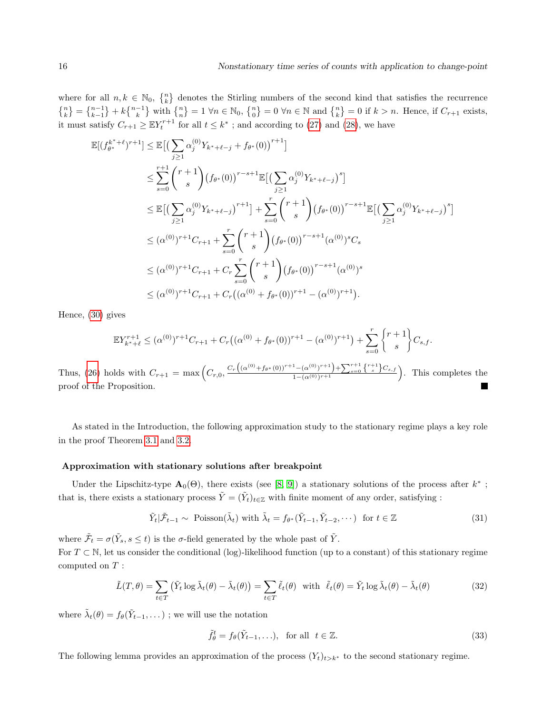where for all  $n, k \in \mathbb{N}_0$ ,  $\{n\}$  denotes the Stirling numbers of the second kind that satisfies the recurrence  $\{n\}\{n\} = \{n-1\} + k\{n-1\}$  with  $\{n\} = 1 \forall n \in \mathbb{N}_0$ ,  $\{n\} = 0 \forall n \in \mathbb{N}$  and  $\{n\} = 0$  if  $k > n$ . Hence, if  $C_{r+1}$  exists, it must satisfy  $C_{r+1} \geq \mathbb{E} Y_t^{r+1}$  for all  $t \leq k^*$ ; and according to [\(27\)](#page-14-1) and [\(28\)](#page-14-3), we have

$$
\mathbb{E}[(f_{\theta^*}^{k^*+\ell})^{r+1}] \leq \mathbb{E}\left[\left(\sum_{j\geq 1} \alpha_j^{(0)} Y_{k^*+\ell-j} + f_{\theta^*}(0)\right)^{r+1}\right]
$$
\n
$$
\leq \sum_{s=0}^{r+1} {r+1 \choose s} (f_{\theta^*}(0))^{r-s+1} \mathbb{E}\left[\left(\sum_{j\geq 1} \alpha_j^{(0)} Y_{k^*+\ell-j}\right)^s\right]
$$
\n
$$
\leq \mathbb{E}\left[\left(\sum_{j\geq 1} \alpha_j^{(0)} Y_{k^*+\ell-j}\right)^{r+1}\right] + \sum_{s=0}^r {r+1 \choose s} (f_{\theta^*}(0))^{r-s+1} \mathbb{E}\left[\left(\sum_{j\geq 1} \alpha_j^{(0)} Y_{k^*+\ell-j}\right)^s\right]
$$
\n
$$
\leq (\alpha^{(0)})^{r+1} C_{r+1} + \sum_{s=0}^r {r+1 \choose s} (f_{\theta^*}(0))^{r-s+1} (\alpha^{(0)})^s C_s
$$
\n
$$
\leq (\alpha^{(0)})^{r+1} C_{r+1} + C_r \sum_{s=0}^r {r+1 \choose s} (f_{\theta^*}(0))^{r-s+1} (\alpha^{(0)})^s
$$
\n
$$
\leq (\alpha^{(0)})^{r+1} C_{r+1} + C_r ((\alpha^{(0)} + f_{\theta^*}(0))^{r+1} - (\alpha^{(0)})^{r+1}).
$$

Hence, [\(30\)](#page-14-4) gives

$$
\mathbb{E}Y_{k^*+\ell}^{r+1} \leq (\alpha^{(0)})^{r+1}C_{r+1} + C_r((\alpha^{(0)} + f_{\theta^*}(0))^{r+1} - (\alpha^{(0)})^{r+1}) + \sum_{s=0}^r \begin{Bmatrix} r+1\\s \end{Bmatrix} C_{s,f}.
$$

Thus, [\(26\)](#page-14-0) holds with  $C_{r+1} = \max\left(C_{r,0}, \frac{C_r\left((\alpha^{(0)}+f_{\theta^*}(0))^{r+1}-(\alpha^{(0)})^{r+1}\right)+\sum_{s=0}^{r+1}\binom{r+1}{s}C_{s,f}}{1-(\alpha^{(0)})^{r+1}}\right)$  $\frac{1 - (\alpha^{(0)})^{r+1} + \sum_{s=0}^{r+1} \binom{r+1}{s} C_{s,f}}{1 - (\alpha^{(0)})^{r+1}}$ . This completes the proof of the Proposition.

As stated in the Introduction, the following approximation study to the stationary regime plays a key role in the proof Theorem [3.1](#page-5-0) and [3.2.](#page-6-0)

#### Approximation with stationary solutions after breakpoint

Under the Lipschitz-type  $\mathbf{A}_0(\Theta)$ , there exists (see [\[8,](#page-24-0) [9\]](#page-24-1)) a stationary solutions of the process after  $k^*$ ; that is, there exists a stationary process  $\tilde{Y} = (\tilde{Y}_t)_{t \in \mathbb{Z}}$  with finite moment of any order, satisfying :

$$
\tilde{Y}_t | \tilde{\mathcal{F}}_{t-1} \sim \text{ Poisson}(\tilde{\lambda}_t) \text{ with } \tilde{\lambda}_t = f_{\theta^*}(\tilde{Y}_{t-1}, \tilde{Y}_{t-2}, \cdots) \text{ for } t \in \mathbb{Z}
$$
\n(31)

where  $\tilde{\mathcal{F}}_t = \sigma(\tilde{Y}_s, s \leq t)$  is the  $\sigma$ -field generated by the whole past of  $\tilde{Y}$ . For  $T \subset \mathbb{N}$ , let us consider the conditional (log)-likelihood function (up to a constant) of this stationary regime computed on  $T$  :

<span id="page-15-2"></span>
$$
\tilde{L}(T,\theta) = \sum_{t \in T} (\tilde{Y}_t \log \tilde{\lambda}_t(\theta) - \tilde{\lambda}_t(\theta)) = \sum_{t \in T} \tilde{\ell}_t(\theta) \text{ with } \tilde{\ell}_t(\theta) = \tilde{Y}_t \log \tilde{\lambda}_t(\theta) - \tilde{\lambda}_t(\theta)
$$
\n(32)

where  $\tilde{\lambda}_t(\theta) = f_{\theta}(\tilde{Y}_{t-1}, \dots)$ ; we will use the notation

<span id="page-15-1"></span>
$$
\tilde{f}_{\theta}^{t} = f_{\theta}(\tilde{Y}_{t-1}, \ldots), \quad \text{for all} \quad t \in \mathbb{Z}.
$$
\n
$$
(33)
$$

<span id="page-15-0"></span>The following lemma provides an approximation of the process  $(Y_t)_{t\geq k^*}$  to the second stationary regime.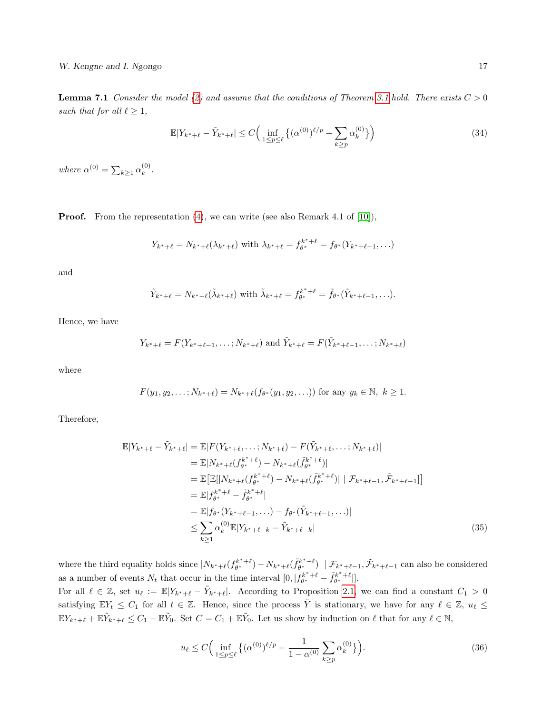W. Kengne and I. Ngongo 17

**Lemma 7.1** Consider the model [\(2\)](#page-1-0) and assume that the conditions of Theorem [3.1](#page-5-0) hold. There exists  $C > 0$ such that for all  $\ell \geq 1$ ,

<span id="page-16-2"></span>
$$
\mathbb{E}|Y_{k^*+\ell} - \tilde{Y}_{k^*+\ell}| \le C \Big( \inf_{1 \le p \le \ell} \left\{ (\alpha^{(0)})^{\ell/p} + \sum_{k \ge p} \alpha_k^{(0)} \right\} \Big) \tag{34}
$$

where  $\alpha^{(0)} = \sum_{k \geq 1} \alpha_k^{(0)}$  $\binom{0}{k}$ .

**Proof.** From the representation  $(4)$ , we can write (see also Remark 4.1 of [\[10\]](#page-24-2)),

$$
Y_{k^*+\ell} = N_{k^*+\ell}(\lambda_{k^*+\ell})
$$
 with  $\lambda_{k^*+\ell} = f_{\theta^*}^{k^*+\ell} = f_{\theta^*}(Y_{k^*+\ell-1},...)$ 

and

$$
\tilde{Y}_{k^*+\ell}=N_{k^*+\ell}(\tilde{\lambda}_{k^*+\ell})\text{ with }\tilde{\lambda}_{k^*+\ell}=f_{\theta^*}^{k^*+\ell}=\tilde{f}_{\theta^*}(\tilde{Y}_{k^*+\ell-1},\ldots).
$$

Hence, we have

$$
Y_{k^*+\ell} = F(Y_{k^*+\ell-1}, \ldots; N_{k^*+\ell})
$$
 and  $\tilde{Y}_{k^*+\ell} = F(\tilde{Y}_{k^*+\ell-1}, \ldots; N_{k^*+\ell})$ 

where

$$
F(y_1, y_2, \dots; N_{k^*+\ell}) = N_{k^*+\ell}(f_{\theta^*}(y_1, y_2, \dots))
$$
 for any  $y_k \in \mathbb{N}, k \ge 1$ .

Therefore,

$$
\mathbb{E}|Y_{k^*+\ell} - \tilde{Y}_{k^*+\ell}| = \mathbb{E}|F(Y_{k^*+\ell}, \dots; N_{k^*+\ell}) - F(\tilde{Y}_{k^*+\ell}, \dots; N_{k^*+\ell})|
$$
\n
$$
= \mathbb{E}|N_{k^*+\ell}(f_{\theta^*}^{k^*+\ell}) - N_{k^*+\ell}(f_{\theta^*}^{k^*+\ell})|
$$
\n
$$
= \mathbb{E}\left[\mathbb{E}[|N_{k^*+\ell}(f_{\theta^*}^{k^*+\ell}) - N_{k^*+\ell}(f_{\theta^*}^{k^*+\ell})| \mid \mathcal{F}_{k^*+\ell-1}, \tilde{\mathcal{F}}_{k^*+\ell-1}] \right]
$$
\n
$$
= \mathbb{E}|f_{\theta^*}^{k^*+\ell} - \tilde{f}_{\theta^*}^{k^*+\ell}|
$$
\n
$$
= \mathbb{E}|f_{\theta^*}(Y_{k^*+\ell-1}, \dots) - f_{\theta^*}(\tilde{Y}_{k^*+\ell-1}, \dots)|
$$
\n
$$
\leq \sum_{k \geq 1} \alpha_k^{(0)} \mathbb{E}|Y_{k^*+\ell-k} - \tilde{Y}_{k^*+\ell-k}|
$$
\n(35)

where the third equality holds since  $|N_{k^*+\ell}(f_{\theta^*}^{k^*+\ell}) - N_{k^*+\ell}(\tilde{f}_{\theta^*}^{k^*+\ell})| | \mathcal{F}_{k^*+\ell-1}, \tilde{\mathcal{F}}_{k^*+\ell-1}$  can also be considered as a number of events  $N_t$  that occur in the time interval  $[0, |f_{\theta^*}^{k^*+\ell} - \tilde{f}_{\theta^*}^{k^*+\ell}|].$ 

For all  $\ell \in \mathbb{Z}$ , set  $u_{\ell} := \mathbb{E}|Y_{k^*+\ell} - \tilde{Y}_{k^*+\ell}|$ . According to Proposition [2.1,](#page-3-0) we can find a constant  $C_1 > 0$ satisfying  $\mathbb{E}Y_t \leq C_1$  for all  $t \in \mathbb{Z}$ . Hence, since the process  $\tilde{Y}$  is stationary, we have for any  $\ell \in \mathbb{Z}$ ,  $u_{\ell} \leq$  $\mathbb{E} Y_{k^*+\ell} + \mathbb{E} \tilde{Y}_{k^*+\ell} \leq C_1 + \mathbb{E} \tilde{Y}_0$ . Set  $C = C_1 + \mathbb{E} \tilde{Y}_0$ . Let us show by induction on  $\ell$  that for any  $\ell \in \mathbb{N}$ ,

<span id="page-16-1"></span><span id="page-16-0"></span>
$$
u_{\ell} \le C \Big( \inf_{1 \le p \le \ell} \left\{ (\alpha^{(0)})^{\ell/p} + \frac{1}{1 - \alpha^{(0)}} \sum_{k \ge p} \alpha_k^{(0)} \right\} \Big). \tag{36}
$$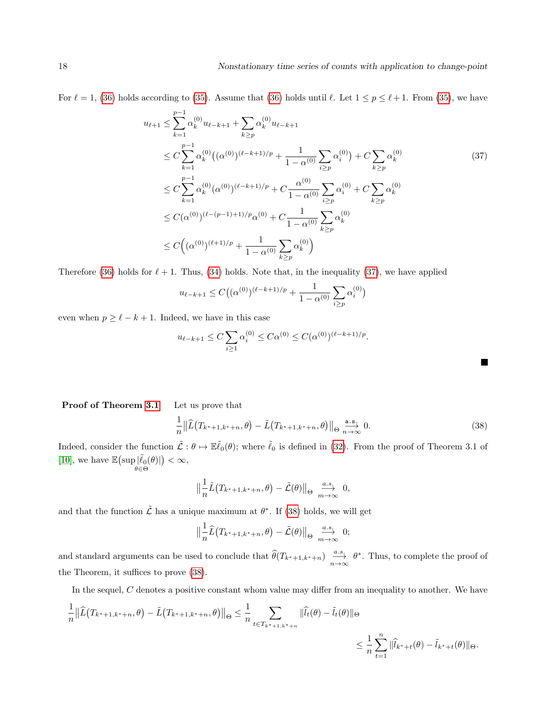For  $\ell = 1$ , [\(36\)](#page-16-0) holds according to [\(35\)](#page-16-1). Assume that (36) holds until  $\ell$ . Let  $1 \le p \le \ell + 1$ . From (35), we have

$$
u_{\ell+1} \leq \sum_{k=1}^{p-1} \alpha_k^{(0)} u_{\ell-k+1} + \sum_{k \geq p} \alpha_k^{(0)} u_{\ell-k+1}
$$
  
\n
$$
\leq C \sum_{k=1}^{p-1} \alpha_k^{(0)} \big( (\alpha^{(0)})^{(\ell-k+1)/p} + \frac{1}{1 - \alpha^{(0)}} \sum_{i \geq p} \alpha_i^{(0)} \big) + C \sum_{k \geq p} \alpha_k^{(0)}
$$
  
\n
$$
\leq C \sum_{k=1}^{p-1} \alpha_k^{(0)} (\alpha^{(0)})^{(\ell-k+1)/p} + C \frac{\alpha^{(0)}}{1 - \alpha^{(0)}} \sum_{i \geq p} \alpha_i^{(0)} + C \sum_{k \geq p} \alpha_k^{(0)}
$$
  
\n
$$
\leq C (\alpha^{(0)})^{(\ell-(p-1)+1)/p} \alpha^{(0)} + C \frac{1}{1 - \alpha^{(0)}} \sum_{k \geq p} \alpha_k^{(0)}
$$
  
\n
$$
\leq C \Big( (\alpha^{(0)})^{(\ell+1)/p} + \frac{1}{1 - \alpha^{(0)}} \sum_{k \geq p} \alpha_k^{(0)} \Big)
$$

Therefore [\(36\)](#page-16-0) holds for  $\ell + 1$ . Thus, [\(34\)](#page-16-2) holds. Note that, in the inequality [\(37\)](#page-17-0), we have applied

$$
u_{\ell-k+1} \le C\big( (\alpha^{(0)})^{(\ell-k+1)/p} + \frac{1}{1 - \alpha^{(0)}} \sum_{i \ge p} \alpha_i^{(0)} \big)
$$

even when  $p \geq \ell - k + 1$ . Indeed, we have in this case

$$
u_{\ell-k+1} \le C \sum_{i\ge 1} \alpha_i^{(0)} \le C\alpha^{(0)} \le C(\alpha^{(0)})^{(\ell-k+1)/p}.
$$

| Proof of Theorem 3.1 | Let us prove that |  |
|----------------------|-------------------|--|
|----------------------|-------------------|--|

<span id="page-17-1"></span>
$$
\frac{1}{n} \left\| \widehat{L}\left(T_{k^*+1,k^*+n},\theta\right) - \widetilde{L}\left(T_{k^*+1,k^*+n},\theta\right) \right\|_{\Theta} \xrightarrow[n \to \infty]{\text{a.s.}} 0. \tag{38}
$$

<span id="page-17-0"></span>H

Indeed, consider the function  $\tilde{\mathcal{L}} : \theta \mapsto \mathbb{E} \tilde{\ell}_0(\theta)$ ; where  $\tilde{\ell}_0$  is defined in [\(32\)](#page-15-2). From the proof of Theorem 3.1 of [\[10\]](#page-24-2), we have  $\mathbb{E}\bigl(\sup_{\theta \in \Theta} \lvert \tilde{\ell}_0(\theta) \rvert$  $) < \infty$ ,

$$
\left\|\frac{1}{n}\tilde{L}\big(T_{k^*+1,k^*+n},\theta\big)-\tilde{\mathcal{L}}(\theta)\right\|_{\Theta}\xrightarrow[m\to\infty]{a.s.}0,
$$

and that the function  $\tilde{\mathcal{L}}$  has a unique maximum at  $\theta^*$ . If [\(38\)](#page-17-1) holds, we will get

$$
\left\|\frac{1}{n}\widehat{L}(T_{k^*+1,k^*+n},\theta)-\widetilde{\mathcal{L}}(\theta)\right\|_{\Theta}\xrightarrow[m\to\infty]{a.s.}0;
$$

and standard arguments can be used to conclude that  $\widehat{\theta}(T_{k^*+1,k^*+n}) \xrightarrow[n \to \infty]{a.s.} \theta^*$ . Thus, to complete the proof of the Theorem, it suffices to prove [\(38\)](#page-17-1).

In the sequel, C denotes a positive constant whom value may differ from an inequality to another. We have

$$
\frac{1}{n} \|\widehat{L}(T_{k^*+1,k^*+n},\theta) - \widetilde{L}(T_{k^*+1,k^*+n},\theta)\|_{\Theta} \le \frac{1}{n} \sum_{t \in T_{k^*+1,k^*+n}} \|\widehat{l_t}(\theta) - \widetilde{l}_t(\theta)\|_{\Theta}
$$
  

$$
\le \frac{1}{n} \sum_{t=1}^n \|\widehat{l}_{k^*+t}(\theta) - \widetilde{l}_{k^*+t}(\theta)\|_{\Theta}.
$$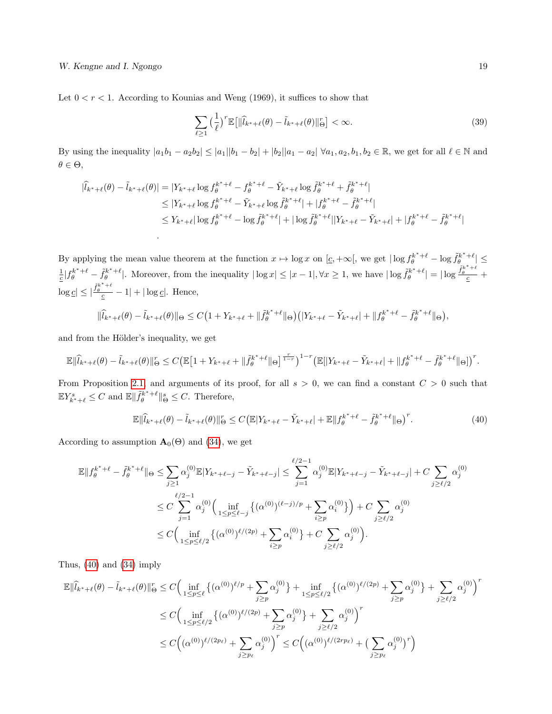Let  $0 < r < 1$ . According to Kounias and Weng (1969), it suffices to show that

<span id="page-18-1"></span>
$$
\sum_{\ell \ge 1} \left(\frac{1}{\ell}\right)^r \mathbb{E}\left[\|\widehat{l}_{k^*+\ell}(\theta) - \widetilde{l}_{k^*+\ell}(\theta)\|_{\Theta}^r\right] < \infty. \tag{39}
$$

By using the inequality  $|a_1b_1 - a_2b_2| \le |a_1||b_1 - b_2| + |b_2||a_1 - a_2| \ \forall a_1, a_2, b_1, b_2 \in \mathbb{R}$ , we get for all  $\ell \in \mathbb{N}$  and  $\theta \in \Theta$ ,

$$
\begin{split} |\hat{l}_{k^*+\ell}(\theta) - \tilde{l}_{k^*+\ell}(\theta)| &= |Y_{k^*+\ell} \log f_{\theta}^{k^*+\ell} - f_{\theta}^{k^*+\ell} - \tilde{Y}_{k^*+\ell} \log \tilde{f}_{\theta}^{k^*+\ell} + \tilde{f}_{\theta}^{k^*+\ell}| \\ &\le |Y_{k^*+\ell} \log f_{\theta}^{k^*+\ell} - \tilde{Y}_{k^*+\ell} \log \tilde{f}_{\theta}^{k^*+\ell}| + |f_{\theta}^{k^*+\ell} - \tilde{f}_{\theta}^{k^*+\ell}| \\ &\le Y_{k^*+\ell} |\log f_{\theta}^{k^*+\ell} - \log \tilde{f}_{\theta}^{k^*+\ell}| + |\log \tilde{f}_{\theta}^{k^*+\ell}| |Y_{k^*+\ell} - \tilde{Y}_{k^*+\ell}| + |f_{\theta}^{k^*+\ell} - \tilde{f}_{\theta}^{k^*+\ell}| \end{split}
$$

By applying the mean value theorem at the function  $x \mapsto \log x$  on  $[c, +\infty]$ , we get  $|\log f_{\theta}^{k^*+\ell} - \log \tilde{f}_{\theta}^{k^*+\ell}| \leq$  $\frac{1}{c} |f_{\theta}^{k^*+\ell} - \tilde{f}_{\theta}^{k^*+\ell}|$ . Moreover, from the inequality  $|\log x| \leq |x-1|, \forall x \geq 1$ , we have  $|\log \tilde{f}_{\theta}^{k^*+\ell}| = |\log \frac{\tilde{f}_{\theta}^{k^*+\ell}}{c} +$  $\log \underline{c} \leq |\frac{\tilde{f}_{\theta}^{k^*+\ell}}{\underline{c}}-1| + |\log \underline{c}|.$  Hence,

$$
\|\widehat{l}_{k^*+\ell}(\theta) - \widetilde{l}_{k^*+\ell}(\theta)\|_{\Theta} \le C\big(1 + Y_{k^*+\ell} + \|\widetilde{f}_{\theta}^{k^*+\ell}\|_{\Theta}\big)\big(|Y_{k^*+\ell} - \widetilde{Y}_{k^*+\ell}| + \|f_{\theta}^{k^*+\ell} - \widetilde{f}_{\theta}^{k^*+\ell}\|_{\Theta}\big),
$$

and from the Hölder's inequality, we get

.

$$
\mathbb{E}\|\widehat{l}_{k^*+\ell}(\theta)-\widetilde{l}_{k^*+\ell}(\theta)\|_{\Theta}^r\leq C\big(\mathbb{E}\big[1+Y_{k^*+\ell}+\|\widetilde{f}_{\theta}^{k^*+\ell}\|_{\Theta}\big]^{\frac{r}{1-r}}\big)^{1-r}\big(\mathbb{E}[|Y_{k^*+\ell}-\widetilde{Y}_{k^*+\ell}|+\|f_{\theta}^{k^*+\ell}-\widetilde{f}_{\theta}^{k^*+\ell}\|_{\Theta}\big]\big)^r.
$$

From Proposition [2.1,](#page-3-0) and arguments of its proof, for all  $s > 0$ , we can find a constant  $C > 0$  such that  $\mathbb{E} Y_{k^*+\ell}^s \leq C$  and  $\mathbb{E} \|\tilde{f}_{\theta}^{k^*+\ell}\|_{\Theta}^s \leq C$ . Therefore,

<span id="page-18-0"></span>
$$
\mathbb{E} \|\hat{l}_{k^*+\ell}(\theta) - \tilde{l}_{k^*+\ell}(\theta)\|_{\Theta}^r \le C \big(\mathbb{E}|Y_{k^*+\ell} - \tilde{Y}_{k^*+\ell}| + \mathbb{E}\|f_{\theta}^{k^*+\ell} - \tilde{f}_{\theta}^{k^*+\ell}\|_{\Theta}\big)^r. \tag{40}
$$

According to assumption  $\mathbf{A}_{0}(\Theta)$  and [\(34\)](#page-16-2), we get

$$
\mathbb{E}||f_{\theta}^{k^*+\ell} - \tilde{f}_{\theta}^{k^*+\ell}||_{\Theta} \leq \sum_{j\geq 1} \alpha_j^{(0)} \mathbb{E}|Y_{k^*+\ell-j} - \tilde{Y}_{k^*+\ell-j}| \leq \sum_{j=1}^{\ell/2-1} \alpha_j^{(0)} \mathbb{E}|Y_{k^*+\ell-j} - \tilde{Y}_{k^*+\ell-j}| + C \sum_{j\geq \ell/2} \alpha_j^{(0)}
$$
  

$$
\leq C \sum_{j=1}^{\ell/2-1} \alpha_j^{(0)} \Big( \inf_{1 \leq p \leq \ell-j} \left\{ (\alpha^{(0)})^{(\ell-j)/p} + \sum_{i\geq p} \alpha_i^{(0)} \right\} \Big) + C \sum_{j\geq \ell/2} \alpha_j^{(0)}
$$
  

$$
\leq C \Big( \inf_{1 \leq p \leq \ell/2} \left\{ (\alpha^{(0)})^{\ell/(2p)} + \sum_{i\geq p} \alpha_i^{(0)} \right\} + C \sum_{j\geq \ell/2} \alpha_j^{(0)} \Big).
$$

Thus, [\(40\)](#page-18-0) and [\(34\)](#page-16-2) imply

$$
\mathbb{E} \|\widehat{l}_{k^*+\ell}(\theta) - \widetilde{l}_{k^*+\ell}(\theta)\|_{\Theta}^r \le C \Big( \inf_{1 \le p \le \ell} \left\{ (\alpha^{(0)})^{\ell/p} + \sum_{j \ge p} \alpha_j^{(0)} \right\} + \inf_{1 \le p \le \ell/2} \left\{ (\alpha^{(0)})^{\ell/(2p)} + \sum_{j \ge p} \alpha_j^{(0)} \right\} + \sum_{j \ge \ell/2} \alpha_j^{(0)} \Big)^r
$$
  

$$
\le C \Big( \inf_{1 \le p \le \ell/2} \left\{ (\alpha^{(0)})^{\ell/(2p)} + \sum_{j \ge p} \alpha_j^{(0)} \right\} + \sum_{j \ge \ell/2} \alpha_j^{(0)} \Big)^r
$$
  

$$
\le C \Big( (\alpha^{(0)})^{\ell/(2p_{\ell})} + \sum_{j \ge p_{\ell}} \alpha_j^{(0)} \Big)^r \le C \Big( (\alpha^{(0)})^{\ell/(2rp_{\ell})} + \Big( \sum_{j \ge p_{\ell}} \alpha_j^{(0)} \Big)^r \Big)
$$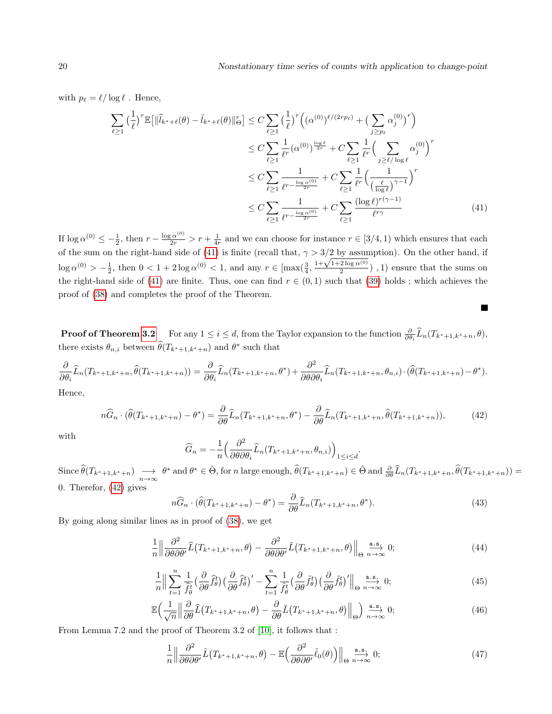with  $p_\ell = \ell / \log \ell$ . Hence,

$$
\sum_{\ell \geq 1} \left(\frac{1}{\ell}\right)^r \mathbb{E}\left[\|\widehat{l}_{k^*+\ell}(\theta) - \widetilde{l}_{k^*+\ell}(\theta)\|_{\Theta}^r\right] \leq C \sum_{\ell \geq 1} \left(\frac{1}{\ell}\right)^r \left((\alpha^{(0)})^{\ell/(2rp_{\ell})} + \left(\sum_{j \geq p_{\ell}} \alpha_j^{(0)}\right)^r\right)
$$
  
\n
$$
\leq C \sum_{\ell \geq 1} \frac{1}{\ell^r} (\alpha^{(0)})^{\frac{\log \ell}{2r}} + C \sum_{\ell \geq 1} \frac{1}{\ell^r} \left(\sum_{j \geq \ell/\log \ell} \alpha_j^{(0)}\right)^r
$$
  
\n
$$
\leq C \sum_{\ell \geq 1} \frac{1}{\ell^{r - \frac{\log \alpha^{(0)}}{2r}} + C \sum_{\ell \geq 1} \frac{1}{\ell^r} \left(\frac{1}{\left(\frac{\ell}{\log \ell}\right)^{\gamma - 1}}\right)^r
$$
  
\n
$$
\leq C \sum_{\ell \geq 1} \frac{1}{\ell^{r - \frac{\log \alpha^{(0)}}{2r}} + C \sum_{\ell \geq 1} \frac{(\log \ell)^{r(\gamma - 1)}}{\ell^{r\gamma}} \tag{41}
$$

If  $\log \alpha^{(0)} \leq -\frac{1}{2}$ , then  $r - \frac{\log \alpha^{(0)}}{2r} > r + \frac{1}{4r}$  and we can choose for instance  $r \in [3/4, 1)$  which ensures that each of the sum on the right-hand side of [\(41\)](#page-19-0) is finite (recall that,  $\gamma > 3/2$  by assumption). On the other hand, if log  $\alpha^{(0)} > -\frac{1}{2}$ , then  $0 < 1 + 2\log \alpha^{(0)} < 1$ , and any  $r \in \left[\max(\frac{3}{4}, \frac{1+\sqrt{1+2\log \alpha^{(0)}}}{2}\right)]$  $\frac{2 \log \alpha^{(2)}}{2}$ , 1) ensure that the sums on the right-hand side of [\(41\)](#page-19-0) are finite. Thus, one can find  $r \in (0,1)$  such that [\(39\)](#page-18-1) holds; which achieves the proof of [\(38\)](#page-17-1) and completes the proof of the Theorem.

**Proof of Theorem [3.2](#page-6-0)** For any  $1 \leq i \leq d$ , from the Taylor expansion to the function  $\frac{\partial}{\partial \theta_i} \widehat{L}_n(T_{k^*+1,k^*+n},\theta)$ , there exists  $\theta_{n,i}$  between  $\widehat{\theta}(T_{k^*+1,k^*+n})$  and  $\theta^*$  such that

$$
\frac{\partial}{\partial \theta_i} \widehat{L}_n(T_{k^*+1,k^*+n},\widehat{\theta}(T_{k^*+1,k^*+n})) = \frac{\partial}{\partial \theta_i} \widehat{L}_n(T_{k^*+1,k^*+n},\theta^*) + \frac{\partial^2}{\partial \theta \partial \theta_i} \widehat{L}_n(T_{k^*+1,k^*+n},\theta_{n,i}) \cdot (\widehat{\theta}(T_{k^*+1,k^*+n}) - \theta^*).
$$

Hence,

<span id="page-19-1"></span>
$$
n\widehat{G}_n \cdot (\widehat{\theta}(T_{k^*+1,k^*+n}) - \theta^*) = \frac{\partial}{\partial \theta} \widehat{L}_n(T_{k^*+1,k^*+n},\theta^*) - \frac{\partial}{\partial \theta} \widehat{L}_n(T_{k^*+1,k^*+n},\widehat{\theta}(T_{k^*+1,k^*+n})),\tag{42}
$$

with

$$
\widehat{G}_n = -\frac{1}{n} \left( \frac{\partial^2}{\partial \theta \partial \theta_i} \widehat{L}_n(T_{k^*+1,k^*+n}, \theta_{n,i}) \right)_{1 \le i \le d}
$$

 $\widehat{\theta}(T_{k^*+1,k^*+n}) \longrightarrow \theta^*$  and  $\theta^* \in \mathring{\Theta}$ , for *n* large enough,  $\widehat{\theta}(T_{k^*+1,k^*+n}) \in \mathring{\Theta}$  and  $\frac{\partial}{\partial \theta}\widehat{L}_n(T_{k^*+1,k^*+n}, \widehat{\theta}(T_{k^*+1,k^*+n})) =$ 0. Therefor, [\(42\)](#page-19-1) gives

<span id="page-19-5"></span>
$$
n\widehat{G}_n \cdot (\widehat{\theta}(T_{k^*+1,k^*+n}) - \theta^*) = \frac{\partial}{\partial \theta} \widehat{L}_n(T_{k^*+1,k^*+n},\theta^*).
$$
\n(43)

.

By going along similar lines as in proof of [\(38\)](#page-17-1), we get

<span id="page-19-2"></span>
$$
\frac{1}{n} \left\| \frac{\partial^2}{\partial \theta \partial \theta'} \widehat{L}(T_{k^*+1,k^*+n}, \theta) - \frac{\partial^2}{\partial \theta \partial \theta'} \widetilde{L}(T_{k^*+1,k^*+n}, \theta) \right\|_{\Theta} \xrightarrow[n \to \infty]{\text{a.s.}} 0; \tag{44}
$$

<span id="page-19-3"></span>
$$
\frac{1}{n} \Big\| \sum_{t=1}^{n} \frac{1}{\hat{f}_{\theta}^{t}} \Big( \frac{\partial}{\partial \theta} \hat{f}_{\theta}^{t} \Big) \Big( \frac{\partial}{\partial \theta} \hat{f}_{\theta}^{t} \Big)' - \sum_{t=1}^{n} \frac{1}{\tilde{f}_{\theta}^{t}} \Big( \frac{\partial}{\partial \theta} \tilde{f}_{\theta}^{t} \Big) \Big( \frac{\partial}{\partial \theta} \tilde{f}_{\theta}^{t} \Big)' \Big\|_{\Theta} \xrightarrow{n \to \infty} 0; \tag{45}
$$

<span id="page-19-6"></span>
$$
\mathbb{E}\Big(\frac{1}{\sqrt{n}}\Big\|\frac{\partial}{\partial\theta}\widehat{L}\big(T_{k^*+1,k^*+n},\theta\big)-\frac{\partial}{\partial\theta}\widehat{L}\big(T_{k^*+1,k^*+n},\theta\big)\Big\|_{\Theta}\Big)\overset{\text{a.s.}}{\underset{n\to\infty}{\longrightarrow}}0;\tag{46}
$$

From Lemma 7.2 and the proof of Theorem 3.2 of [\[10\]](#page-24-2), it follows that :

<span id="page-19-4"></span>
$$
\frac{1}{n} \left\| \frac{\partial^2}{\partial \theta \partial \theta'} \tilde{L} \left( T_{k^*+1, k^*+n}, \theta \right) - \mathbb{E} \left( \frac{\partial^2}{\partial \theta \partial \theta'} \tilde{\ell}_0(\theta) \right) \right\|_{\Theta} \xrightarrow[n \to \infty]{} 0; \tag{47}
$$

<span id="page-19-0"></span> $\overline{\phantom{0}}$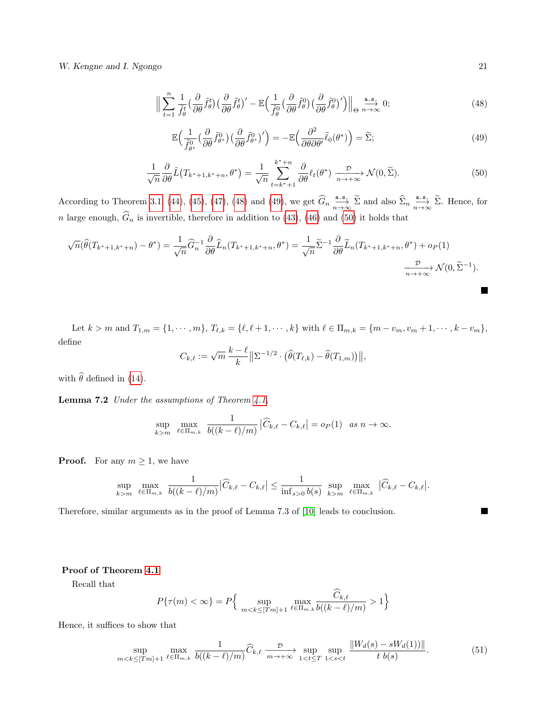W. Kengne and I. Ngongo 21

<span id="page-20-0"></span>
$$
\Big\| \sum_{t=1}^{n} \frac{1}{\tilde{f}_{\theta}^{t}} \Big( \frac{\partial}{\partial \theta} \tilde{f}_{\theta}^{t} \Big) \Big( \frac{\partial}{\partial \theta} \tilde{f}_{\theta}^{t} \Big)' - \mathbb{E} \Big( \frac{1}{\tilde{f}_{\theta}^{0}} \Big( \frac{\partial}{\partial \theta} \tilde{f}_{\theta}^{0} \Big) \Big( \frac{\partial}{\partial \theta} \tilde{f}_{\theta}^{0} \Big)' \Big) \Big\|_{\Theta} \xrightarrow[n \to \infty]{\text{a.s.}} 0; \tag{48}
$$

<span id="page-20-1"></span>
$$
\mathbb{E}\Big(\frac{1}{\tilde{f}_{\theta^*}^0}\big(\frac{\partial}{\partial\theta}\tilde{f}_{\theta^*}^0\big)\big(\frac{\partial}{\partial\theta}\tilde{f}_{\theta^*}^0\big)'\Big) = -\mathbb{E}\Big(\frac{\partial^2}{\partial\theta\partial\theta'}\tilde{\ell}_0(\theta^*)\Big) = \widetilde{\Sigma};\tag{49}
$$

<span id="page-20-2"></span>
$$
\frac{1}{\sqrt{n}} \frac{\partial}{\partial \theta} \tilde{L} \left( T_{k^*+1, k^*+n}, \theta^* \right) = \frac{1}{\sqrt{n}} \sum_{t=k^*+1}^{k^*+n} \frac{\partial}{\partial \theta} \ell_t(\theta^*) \xrightarrow[n \to +\infty]{} \mathcal{N}(0, \tilde{\Sigma}). \tag{50}
$$

According to Theorem [3.1,](#page-5-0) [\(44\)](#page-19-2), [\(45\)](#page-19-3), [\(47\)](#page-19-4), [\(48\)](#page-20-0) and [\(49\)](#page-20-1), we get  $\widehat{G}_n \stackrel{\text{a.s.}}{\underset{n\to\infty}{\longrightarrow}} \widetilde{\Sigma}$  and also  $\widehat{\Sigma}_n \stackrel{\text{a.s.}}{\underset{n\to\infty}{\longrightarrow}} \widetilde{\Sigma}$ . Hence, for n large enough,  $G_n$  is invertible, therefore in addition to [\(43\)](#page-19-5), [\(46\)](#page-19-6) and [\(50\)](#page-20-2) it holds that

$$
\sqrt{n}(\widehat{\theta}(T_{k^*+1,k^*+n}) - \theta^*) = \frac{1}{\sqrt{n}} \widehat{G}_n^{-1} \frac{\partial}{\partial \theta} \widehat{L}_n(T_{k^*+1,k^*+n}, \theta^*) = \frac{1}{\sqrt{n}} \widetilde{\Sigma}^{-1} \frac{\partial}{\partial \theta} \widetilde{L}_n(T_{k^*+1,k^*+n}, \theta^*) + o_P(1)
$$

$$
\xrightarrow[n \to +\infty]{\mathcal{D}} \mathcal{N}(0, \widetilde{\Sigma}^{-1}).
$$

Let  $k > m$  and  $T_{1,m} = \{1, \dots, m\}$ ,  $T_{\ell,k} = \{\ell, \ell+1, \dots, k\}$  with  $\ell \in \Pi_{m,k} = \{m - v_m, v_m + 1, \dots, k - v_m\}$ , define  $k - \ell$ 

<span id="page-20-3"></span>
$$
C_{k,\ell} := \sqrt{m} \, \frac{k-\ell}{k} \big\| \Sigma^{-1/2} \cdot \big(\widehat{\theta}(T_{\ell,k}) - \widehat{\theta}(T_{1,m})\big) \big\|,
$$

with  $\widehat{\theta}$  defined in [\(14\)](#page-5-2).

**Lemma 7.2** Under the assumptions of Theorem  $4.1$ ,

$$
\sup_{k>m} \max_{\ell \in \Pi_{m,k}} \frac{1}{b((k-\ell)/m)} |\widehat{C}_{k,\ell} - C_{k,\ell}| = o_P(1) \text{ as } n \to \infty.
$$

**Proof.** For any  $m \geq 1$ , we have

$$
\sup_{k>m}\max_{\ell\in\Pi_{m,k}}\;\frac{1}{b((k-\ell)/m)}\big|\widehat{C}_{k,\ell}-C_{k,\ell}\big|\leq \frac{1}{\inf_{s>0}b(s)}\,\sup_{k>m}\;\max_{\ell\in\Pi_{m,k}}\;\big|\widehat{C}_{k,\ell}-C_{k,\ell}\big|.
$$

Therefore, similar arguments as in the proof of Lemma 7.3 of [\[10\]](#page-24-2) leads to conclusion.

#### Proof of Theorem [4.1](#page-8-0)

Recall that

$$
P\{\tau(m) < \infty\} = P\Big\{\sup_{m < k \leq [Tm]+1} \max_{\ell \in \Pi_{m,k}} \frac{\widehat{C}_{k,\ell}}{b((k-\ell)/m)} > 1\Big\}
$$

Hence, it suffices to show that

$$
\sup_{m < k \leq [Tm]+1} \max_{\ell \in \Pi_{m,k}} \frac{1}{b((k-\ell)/m)} \widehat{C}_{k,\ell} \xrightarrow[m \to +\infty]{} \sup_{1 < t \leq T} \sup_{1 < s < t} \frac{\|W_d(s) - sW_d(1))\|}{t \ b(s)}.\tag{51}
$$

П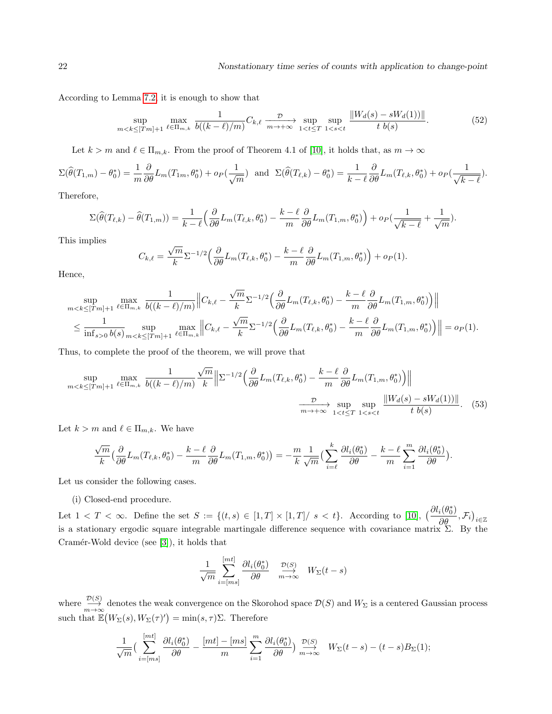According to Lemma [7.2,](#page-20-3) it is enough to show that

$$
\sup_{m < k \leq [Tm]+1} \max_{\ell \in \Pi_{m,k}} \frac{1}{b((k-\ell)/m)} C_{k,\ell} \xrightarrow[m \to +\infty]{} \sup_{1 < t \leq T} \sup_{1 < s < t} \frac{\|W_d(s) - sW_d(1))\|}{t \ b(s)}.\tag{52}
$$

Let  $k > m$  and  $\ell \in \Pi_{m,k}$ . From the proof of Theorem 4.1 of [\[10\]](#page-24-2), it holds that, as  $m \to \infty$ 

$$
\Sigma(\widehat{\theta}(T_{1,m})-\theta_0^*) = \frac{1}{m}\frac{\partial}{\partial \theta}L_m(T_{1m},\theta_0^*) + o_P(\frac{1}{\sqrt{m}}) \text{ and } \Sigma(\widehat{\theta}(T_{\ell,k})-\theta_0^*) = \frac{1}{k-\ell}\frac{\partial}{\partial \theta}L_m(T_{\ell,k},\theta_0^*) + o_P(\frac{1}{\sqrt{k-\ell}}).
$$

Therefore,

$$
\Sigma(\widehat{\theta}(T_{\ell,k}) - \widehat{\theta}(T_{1,m})) = \frac{1}{k-\ell} \left( \frac{\partial}{\partial \theta} L_m(T_{\ell,k}, \theta_0^*) - \frac{k-\ell}{m} \frac{\partial}{\partial \theta} L_m(T_{1,m}, \theta_0^*) \right) + o_P(\frac{1}{\sqrt{k-\ell}} + \frac{1}{\sqrt{m}}).
$$

This implies

$$
C_{k,\ell} = \frac{\sqrt{m}}{k} \Sigma^{-1/2} \left( \frac{\partial}{\partial \theta} L_m(T_{\ell,k}, \theta_0^*) - \frac{k-\ell}{m} \frac{\partial}{\partial \theta} L_m(T_{1,m}, \theta_0^*) \right) + o_P(1).
$$

Hence,

$$
\sup_{m < k \leq [Tm]+1} \max_{\ell \in \Pi_{m,k}} \frac{1}{b((k-\ell)/m)} \left\| C_{k,\ell} - \frac{\sqrt{m}}{k} \Sigma^{-1/2} \left( \frac{\partial}{\partial \theta} L_m(T_{\ell,k}, \theta_0^*) - \frac{k-\ell}{m} \frac{\partial}{\partial \theta} L_m(T_{1,m}, \theta_0^*) \right) \right\|
$$
\n
$$
\leq \frac{1}{\inf_{s>0} b(s)} \sup_{m < k \leq [Tm]+1} \max_{\ell \in \Pi_{m,k}} \left\| C_{k,\ell} - \frac{\sqrt{m}}{k} \Sigma^{-1/2} \left( \frac{\partial}{\partial \theta} L_m(T_{\ell,k}, \theta_0^*) - \frac{k-\ell}{m} \frac{\partial}{\partial \theta} L_m(T_{1,m}, \theta_0^*) \right) \right\| = o_P(1).
$$

Thus, to complete the proof of the theorem, we will prove that

$$
\sup_{m < k \leq [Tm]+1} \max_{\ell \in \Pi_{m,k}} \frac{1}{b((k-\ell)/m)} \frac{\sqrt{m}}{k} \left\| \Sigma^{-1/2} \left( \frac{\partial}{\partial \theta} L_m(T_{\ell,k}, \theta_0^*) - \frac{k-\ell}{m} \frac{\partial}{\partial \theta} L_m(T_{1,m}, \theta_0^*) \right) \right\|
$$
\n
$$
\xrightarrow[m \to +\infty]{} \sup_{1 < t \leq T} \sup_{1 < s < t} \frac{\|W_d(s) - sW_d(1)\|}{t \ b(s)}.
$$
\n(53)

Let  $k > m$  and  $\ell \in \Pi_{m,k}$ . We have

$$
\frac{\sqrt{m}}{k} \left( \frac{\partial}{\partial \theta} L_m(T_{\ell,k}, \theta_0^*) - \frac{k - \ell}{m} \frac{\partial}{\partial \theta} L_m(T_{1,m}, \theta_0^*) \right) = -\frac{m}{k} \frac{1}{\sqrt{m}} \left( \sum_{i=\ell}^k \frac{\partial l_i(\theta_0^*)}{\partial \theta} - \frac{k - \ell}{m} \sum_{i=1}^m \frac{\partial l_i(\theta_0^*)}{\partial \theta} \right).
$$

Let us consider the following cases.

#### (i) Closed-end procedure.

Let  $1 < T < \infty$ . Define the set  $S := \{(t, s) \in [1, T] \times [1, T] / s < t\}$ . According to [\[10\]](#page-24-2),  $\left(\frac{\partial l_i(\theta_0^*)}{\partial \theta}, \mathcal{F}_i\right)_{i \in \mathbb{Z}}$ is a stationary ergodic square integrable martingale difference sequence with covariance matrix  $\Sigma$ . By the Cramér-Wold device (see  $[3]$ ), it holds that

<span id="page-21-0"></span>
$$
\frac{1}{\sqrt{m}} \sum_{i=[ms]}^{[mt]} \frac{\partial l_i(\theta_0^*)}{\partial \theta} \xrightarrow[m \to \infty]{\mathcal{D}(S)} W_{\Sigma}(t-s)
$$

where  $\frac{\mathcal{D}(S)}{m\to\infty}$  denotes the weak convergence on the Skorohod space  $\mathcal{D}(S)$  and  $W_{\Sigma}$  is a centered Gaussian process such that  $\mathbb{E}(W_{\Sigma}(s), W_{\Sigma}(\tau)^{\prime}) = \min(s, \tau)\Sigma$ . Therefore

$$
\frac{1}{\sqrt{m}}\left(\sum_{i=[ms]}^{[mt]}\frac{\partial l_i(\theta_0^*)}{\partial \theta}-\frac{[mt]-[ms]}{m}\sum_{i=1}^m\frac{\partial l_i(\theta_0^*)}{\partial \theta}\right)\stackrel{\mathcal{D}(S)}{m\to\infty}W_{\Sigma}(t-s)-(t-s)B_{\Sigma}(1);
$$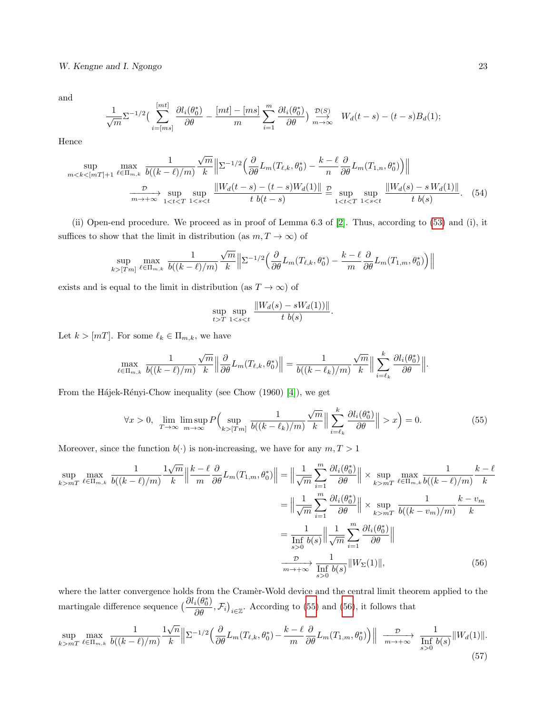W. Kengne and I. Ngongo 23

and

$$
\frac{1}{\sqrt{m}}\Sigma^{-1/2}\left(\sum_{i=\lfloor ms\rfloor}^{[mt]}\frac{\partial l_i(\theta_0^*)}{\partial \theta}-\frac{[mt]-[ms]}{m}\sum_{i=1}^m\frac{\partial l_i(\theta_0^*)}{\partial \theta}\right)\stackrel{\mathcal{D}(S)}{m\to\infty}W_d(t-s)-(t-s)B_d(1);
$$

Hence

$$
\sup_{m < k < [m] + 1} \max_{\ell \in \Pi_{m,k}} \frac{1}{b((k-\ell)/m)} \frac{\sqrt{m}}{k} \left\| \Sigma^{-1/2} \left( \frac{\partial}{\partial \theta} L_m(T_{\ell,k}, \theta_0^*) - \frac{k-\ell}{n} \frac{\partial}{\partial \theta} L_m(T_{1,n}, \theta_0^*) \right) \right\|
$$
\n
$$
\xrightarrow[m \to +\infty]{} \sup_{1 < t < T} \sup_{1 < s < t} \frac{\|W_d(t-s) - (t-s)W_d(1)\|}{t \ b(t-s)} \stackrel{D}{=} \sup_{1 < t < T} \sup_{1 < s < t} \frac{\|W_d(s) - sW_d(1)\|}{t \ b(s)}. \tag{54}
$$

(ii) Open-end procedure. We proceed as in proof of Lemma 6.3 of [\[2\]](#page-23-0). Thus, according to [\(53\)](#page-21-0) and (i), it suffices to show that the limit in distribution (as  $m, T \to \infty$ ) of

$$
\sup_{k > [Tm]} \max_{\ell \in \Pi_{m,k}} \frac{1}{b((k-\ell)/m)} \frac{\sqrt{m}}{k} \Big\| \Sigma^{-1/2} \Big( \frac{\partial}{\partial \theta} L_m(T_{\ell,k}, \theta_0^*) - \frac{k-\ell}{m} \frac{\partial}{\partial \theta} L_m(T_{1,m}, \theta_0^*) \Big) \Big\|
$$

exists and is equal to the limit in distribution (as  $T \to \infty$ ) of

$$
\sup_{t>T} \sup_{1 < s < t} \frac{\|W_d(s) - sW_d(1))\|}{t \ b(s)}
$$

Let  $k > [m]$ . For some  $\ell_k \in \Pi_{m,k}$ , we have

$$
\max_{\ell \in \Pi_{m,k}} \frac{1}{b((k-\ell)/m)} \frac{\sqrt{m}}{k} \left\| \frac{\partial}{\partial \theta} L_m(T_{\ell,k}, \theta_0^*) \right\| = \frac{1}{b((k-\ell_k)/m)} \frac{\sqrt{m}}{k} \left\| \sum_{i=\ell_k}^k \frac{\partial l_i(\theta_0^*)}{\partial \theta} \right\|.
$$

From the Hájek-Rényi-Chow inequality (see Chow (1960) [\[4\]](#page-23-4)), we get

<span id="page-22-0"></span>
$$
\forall x > 0, \ \lim_{T \to \infty} \limsup_{m \to \infty} P\left(\sup_{k > [Tm]} \frac{1}{b((k - \ell_k)/m)} \frac{\sqrt{m}}{k} \Big\| \sum_{i = \ell_k}^k \frac{\partial l_i(\theta_0^*)}{\partial \theta} \Big\| > x\right) = 0. \tag{55}
$$

<span id="page-22-1"></span>.

Moreover, since the function  $b(\cdot)$  is non-increasing, we have for any  $m, T > 1$ 

$$
\sup_{k>mT} \max_{\ell \in \Pi_{m,k}} \frac{1}{b((k-\ell)/m)} \frac{1}{k} \left\| \frac{k-\ell}{m} \frac{\partial}{\partial \theta} L_m(T_{1,m}, \theta_0^*) \right\| = \left\| \frac{1}{\sqrt{m}} \sum_{i=1}^m \frac{\partial l_i(\theta_0^*)}{\partial \theta} \right\| \times \sup_{k>mT} \max_{\ell \in \Pi_{m,k}} \frac{1}{b((k-\ell)/m)} \frac{k-\ell}{k}
$$

$$
= \left\| \frac{1}{\sqrt{m}} \sum_{i=1}^m \frac{\partial l_i(\theta_0^*)}{\partial \theta} \right\| \times \sup_{k>mT} \frac{1}{b((k-v_m)/m)} \frac{k-v_m}{k}
$$

$$
= \frac{1}{\inf_{s>0} b(s)} \left\| \frac{1}{\sqrt{m}} \sum_{i=1}^m \frac{\partial l_i(\theta_0^*)}{\partial \theta} \right\|
$$

$$
\xrightarrow{p \to +\infty} \frac{1}{\inf_{s>0} b(s)} \left\| W_{\Sigma}(1) \right\|, \tag{56}
$$

where the latter convergence holds from the Cramer-Wold device and the central limit theorem applied to the martingale difference sequence  $\left(\frac{\partial l_i(\theta_0^*)}{\partial \theta}, \mathcal{F}_i\right)_{i \in \mathbb{Z}}$ . According to [\(55\)](#page-22-0) and [\(56\)](#page-22-1), it follows that

<span id="page-22-2"></span>
$$
\sup_{k>mT} \max_{\ell \in \Pi_{m,k}} \frac{1}{b((k-\ell)/m)} \frac{\sqrt{n}}{k} \left\| \Sigma^{-1/2} \left( \frac{\partial}{\partial \theta} L_m(T_{\ell,k}, \theta_0^*) - \frac{k-\ell}{m} \frac{\partial}{\partial \theta} L_m(T_{1,m}, \theta_0^*) \right) \right\| \xrightarrow[m \to +\infty]{\mathcal{D}} \frac{1}{\inf_{s>0} b(s)} \|W_d(1)\|.
$$
\n
$$
(57)
$$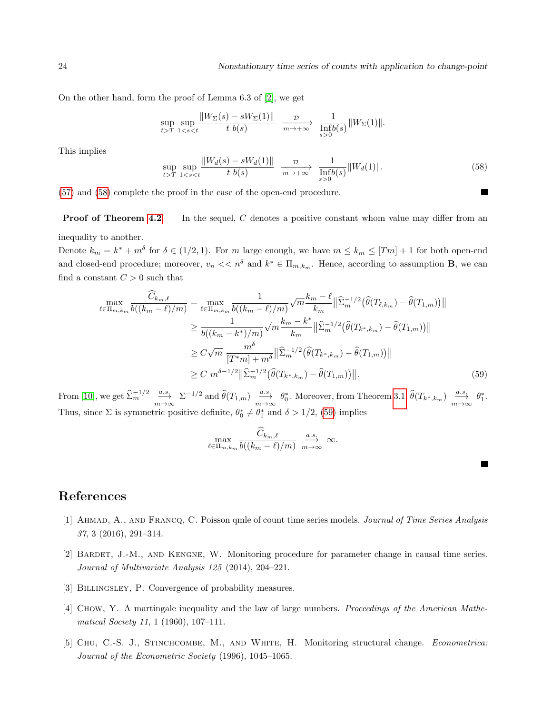24 Nonstationary time series of counts with application to change-point

On the other hand, form the proof of Lemma 6.3 of [\[2\]](#page-23-0), we get

$$
\sup_{t>T} \sup_{1
$$

This implies

<span id="page-23-5"></span>
$$
\sup_{t>T} \sup_{1
$$

[\(57\)](#page-22-2) and [\(58\)](#page-23-5) complete the proof in the case of the open-end procedure.

**Proof of Theorem [4.2](#page-9-2)** In the sequel, C denotes a positive constant whom value may differ from an inequality to another.

Denote  $k_m = k^* + m^{\delta}$  for  $\delta \in (1/2, 1)$ . For m large enough, we have  $m \leq k_m \leq [Tm] + 1$  for both open-end and closed-end procedure; moreover,  $v_n \ll n^{\delta}$  and  $k^* \in \Pi_{m,k_m}$ . Hence, according to assumption **B**, we can find a constant  $C > 0$  such that

$$
\max_{\ell \in \Pi_{m,k_m}} \frac{\widehat{C}_{k_m,\ell}}{b((k_m - \ell)/m)} = \max_{\ell \in \Pi_{m,k_m}} \frac{1}{b((k_m - \ell)/m)} \sqrt{m} \frac{k_m - \ell}{k_m} \|\widehat{\Sigma}_m^{-1/2}(\widehat{\theta}(T_{\ell,k_m}) - \widehat{\theta}(T_{1,m}))\|
$$
  
\n
$$
\geq \frac{1}{b((k_m - k^*)/m)} \sqrt{m} \frac{k_m - k^*}{k_m} \|\widehat{\Sigma}_m^{-1/2}(\widehat{\theta}(T_{k^*,k_m}) - \widehat{\theta}(T_{1,m}))\|
$$
  
\n
$$
\geq C \sqrt{m} \frac{m^{\delta}}{[T^*m] + m^{\delta}} \|\widehat{\Sigma}_m^{-1/2}(\widehat{\theta}(T_{k^*,k_m}) - \widehat{\theta}(T_{1,m}))\|
$$
  
\n
$$
\geq C m^{\delta - 1/2} \|\widehat{\Sigma}_m^{-1/2}(\widehat{\theta}(T_{k^*,k_m}) - \widehat{\theta}(T_{1,m}))\|.
$$
 (59)

From [\[10\]](#page-24-2), we get  $\widehat{\Sigma}_m^{-1/2}$   $\xrightarrow[m \to \infty]{a.s.} \Sigma^{-1/2}$  and  $\widehat{\theta}(T_{1,m})$   $\xrightarrow[m \to \infty]{a.s.} \theta_0^*$ . Moreover, from Theorem [3.1,](#page-5-0)  $\widehat{\theta}(T_{k^*,k_m})$   $\xrightarrow[m \to \infty]{a.s.} \theta_1^*$ . Thus, since  $\Sigma$  is symmetric positive definite,  $\theta_0^* \neq \theta_1^*$  and  $\delta > 1/2$ , [\(59\)](#page-23-6) implies

<span id="page-23-6"></span>
$$
\max_{\ell \in \Pi_{m,k_m}} \frac{\widehat{C}_{k_m,\ell}}{b((k_m-\ell)/m)} \xrightarrow[m \to \infty]{a.s.} \infty.
$$

# References

- <span id="page-23-2"></span>[1] Ahmad, A., and Francq, C. Poisson qmle of count time series models. Journal of Time Series Analysis 37, 3 (2016), 291–314.
- <span id="page-23-0"></span>[2] Bardet, J.-M., and Kengne, W. Monitoring procedure for parameter change in causal time series. Journal of Multivariate Analysis 125 (2014), 204–221.
- <span id="page-23-3"></span>[3] BILLINGSLEY, P. Convergence of probability measures.
- <span id="page-23-4"></span>[4] Chow, Y. A martingale inequality and the law of large numbers. Proceedings of the American Mathematical Society 11, 1 (1960), 107–111.
- <span id="page-23-1"></span>[5] Chu, C.-S. J., Stinchcombe, M., and White, H. Monitoring structural change. Econometrica: Journal of the Econometric Society (1996), 1045–1065.